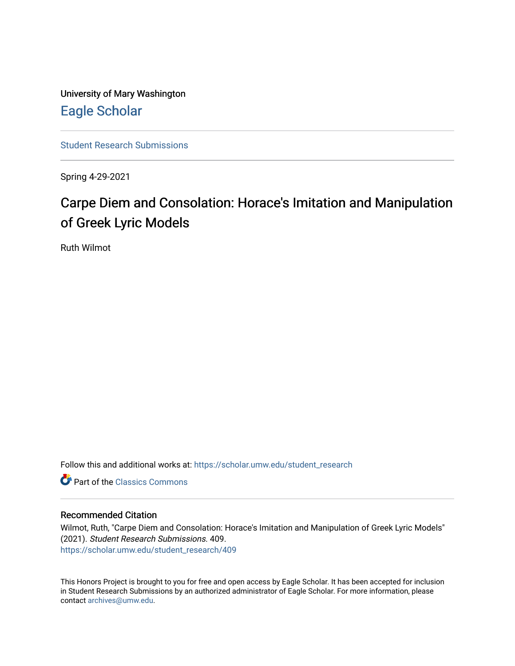University of Mary Washington [Eagle Scholar](https://scholar.umw.edu/) 

[Student Research Submissions](https://scholar.umw.edu/student_research) 

Spring 4-29-2021

# Carpe Diem and Consolation: Horace's Imitation and Manipulation of Greek Lyric Models

Ruth Wilmot

Follow this and additional works at: [https://scholar.umw.edu/student\\_research](https://scholar.umw.edu/student_research?utm_source=scholar.umw.edu%2Fstudent_research%2F409&utm_medium=PDF&utm_campaign=PDFCoverPages)

**C** Part of the [Classics Commons](http://network.bepress.com/hgg/discipline/446?utm_source=scholar.umw.edu%2Fstudent_research%2F409&utm_medium=PDF&utm_campaign=PDFCoverPages)

#### Recommended Citation

Wilmot, Ruth, "Carpe Diem and Consolation: Horace's Imitation and Manipulation of Greek Lyric Models" (2021). Student Research Submissions. 409. [https://scholar.umw.edu/student\\_research/409](https://scholar.umw.edu/student_research/409?utm_source=scholar.umw.edu%2Fstudent_research%2F409&utm_medium=PDF&utm_campaign=PDFCoverPages)

This Honors Project is brought to you for free and open access by Eagle Scholar. It has been accepted for inclusion in Student Research Submissions by an authorized administrator of Eagle Scholar. For more information, please contact [archives@umw.edu](mailto:archives@umw.edu).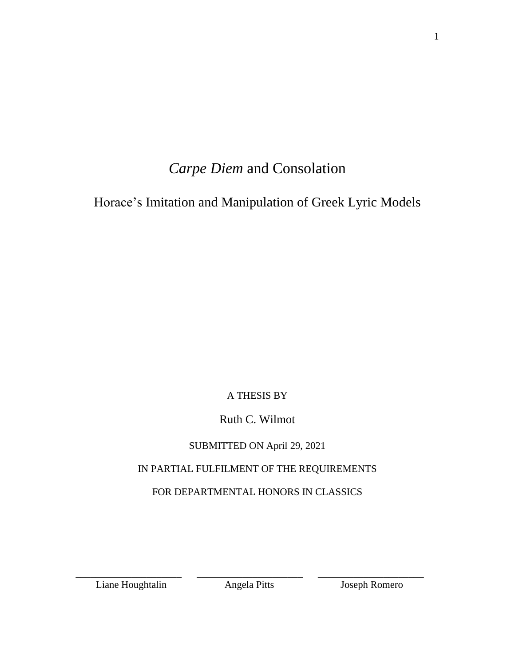# *Carpe Diem* and Consolation

Horace's Imitation and Manipulation of Greek Lyric Models

## A THESIS BY

## Ruth C. Wilmot

### SUBMITTED ON April 29, 2021

## IN PARTIAL FULFILMENT OF THE REQUIREMENTS

## FOR DEPARTMENTAL HONORS IN CLASSICS

Liane Houghtalin Angela Pitts Joseph Romero

\_\_\_\_\_\_\_\_\_\_\_\_\_\_\_\_\_\_\_\_\_ \_\_\_\_\_\_\_\_\_\_\_\_\_\_\_\_\_\_\_\_\_ \_\_\_\_\_\_\_\_\_\_\_\_\_\_\_\_\_\_\_\_\_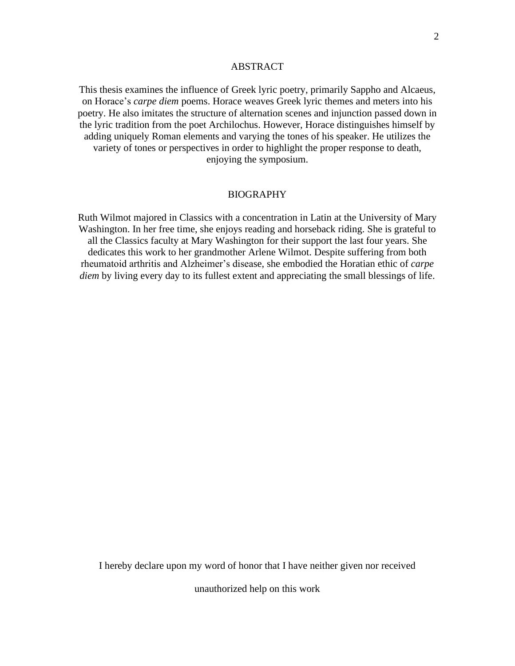#### ABSTRACT

This thesis examines the influence of Greek lyric poetry, primarily Sappho and Alcaeus, on Horace's *carpe diem* poems. Horace weaves Greek lyric themes and meters into his poetry. He also imitates the structure of alternation scenes and injunction passed down in the lyric tradition from the poet Archilochus. However, Horace distinguishes himself by adding uniquely Roman elements and varying the tones of his speaker. He utilizes the variety of tones or perspectives in order to highlight the proper response to death, enjoying the symposium.

#### ΒIOGRAPHY

Ruth Wilmot majored in Classics with a concentration in Latin at the University of Mary Washington. In her free time, she enjoys reading and horseback riding. She is grateful to all the Classics faculty at Mary Washington for their support the last four years. She dedicates this work to her grandmother Arlene Wilmot. Despite suffering from both rheumatoid arthritis and Alzheimer's disease, she embodied the Horatian ethic of *carpe diem* by living every day to its fullest extent and appreciating the small blessings of life.

I hereby declare upon my word of honor that I have neither given nor received

unauthorized help on this work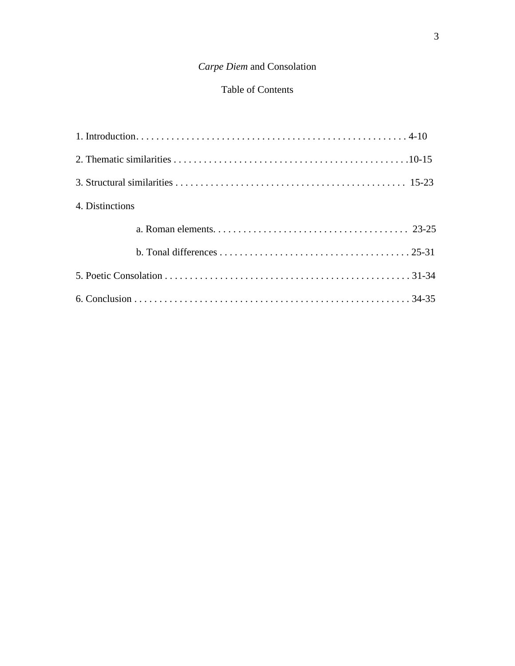### *Carpe Diem* and Consolation

### Table of Contents

| 4. Distinctions |  |
|-----------------|--|
|                 |  |
|                 |  |
|                 |  |
|                 |  |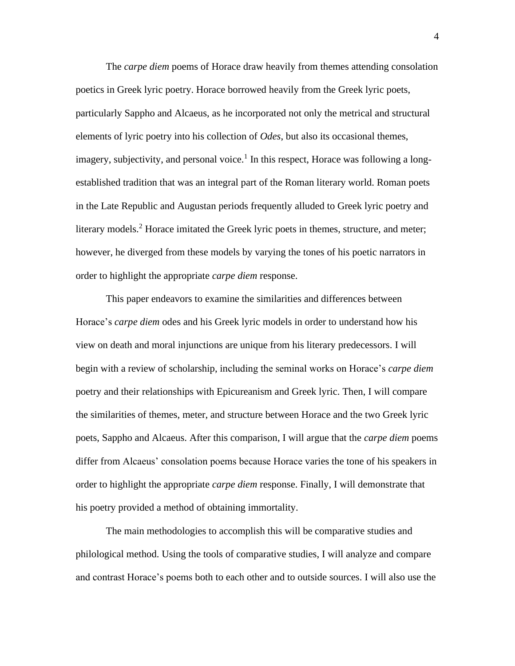The *carpe diem* poems of Horace draw heavily from themes attending consolation poetics in Greek lyric poetry. Horace borrowed heavily from the Greek lyric poets, particularly Sappho and Alcaeus, as he incorporated not only the metrical and structural elements of lyric poetry into his collection of *Odes*, but also its occasional themes, imagery, subjectivity, and personal voice.<sup>1</sup> In this respect, Horace was following a longestablished tradition that was an integral part of the Roman literary world. Roman poets in the Late Republic and Augustan periods frequently alluded to Greek lyric poetry and literary models.<sup>2</sup> Horace imitated the Greek lyric poets in themes, structure, and meter; however, he diverged from these models by varying the tones of his poetic narrators in order to highlight the appropriate *carpe diem* response.

This paper endeavors to examine the similarities and differences between Horace's *carpe diem* odes and his Greek lyric models in order to understand how his view on death and moral injunctions are unique from his literary predecessors. I will begin with a review of scholarship, including the seminal works on Horace's *carpe diem* poetry and their relationships with Epicureanism and Greek lyric. Then, I will compare the similarities of themes, meter, and structure between Horace and the two Greek lyric poets, Sappho and Alcaeus. After this comparison, I will argue that the *carpe diem* poems differ from Alcaeus' consolation poems because Horace varies the tone of his speakers in order to highlight the appropriate *carpe diem* response. Finally, I will demonstrate that his poetry provided a method of obtaining immortality.

The main methodologies to accomplish this will be comparative studies and philological method. Using the tools of comparative studies, I will analyze and compare and contrast Horace's poems both to each other and to outside sources. I will also use the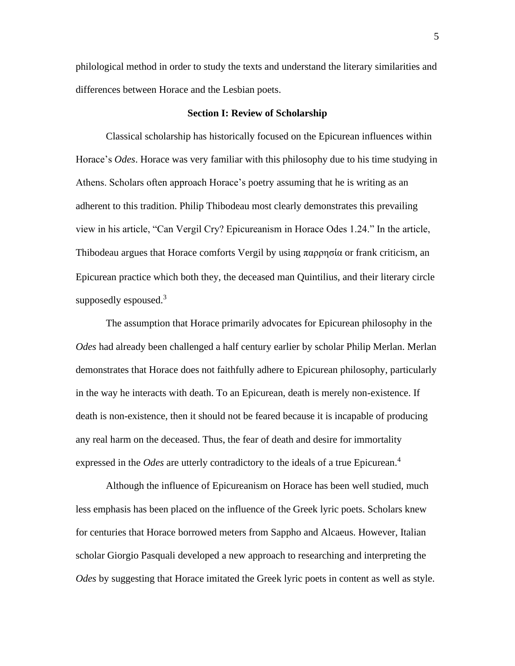philological method in order to study the texts and understand the literary similarities and differences between Horace and the Lesbian poets.

#### **Section I: Review of Scholarship**

Classical scholarship has historically focused on the Epicurean influences within Horace's *Odes*. Horace was very familiar with this philosophy due to his time studying in Athens. Scholars often approach Horace's poetry assuming that he is writing as an adherent to this tradition. Philip Thibodeau most clearly demonstrates this prevailing view in his article, "Can Vergil Cry? Epicureanism in Horace Odes 1.24." In the article, Thibodeau argues that Horace comforts Vergil by using  $\pi \alpha \rho \rho \eta \sigma \alpha$  or frank criticism, an Epicurean practice which both they, the deceased man Quintilius, and their literary circle supposedly espoused.<sup>3</sup>

The assumption that Horace primarily advocates for Epicurean philosophy in the *Odes* had already been challenged a half century earlier by scholar Philip Merlan. Merlan demonstrates that Horace does not faithfully adhere to Epicurean philosophy, particularly in the way he interacts with death. To an Epicurean, death is merely non-existence. If death is non-existence, then it should not be feared because it is incapable of producing any real harm on the deceased. Thus, the fear of death and desire for immortality expressed in the *Odes* are utterly contradictory to the ideals of a true Epicurean.<sup>4</sup>

Although the influence of Epicureanism on Horace has been well studied, much less emphasis has been placed on the influence of the Greek lyric poets. Scholars knew for centuries that Horace borrowed meters from Sappho and Alcaeus. However, Italian scholar Giorgio Pasquali developed a new approach to researching and interpreting the *Odes* by suggesting that Horace imitated the Greek lyric poets in content as well as style.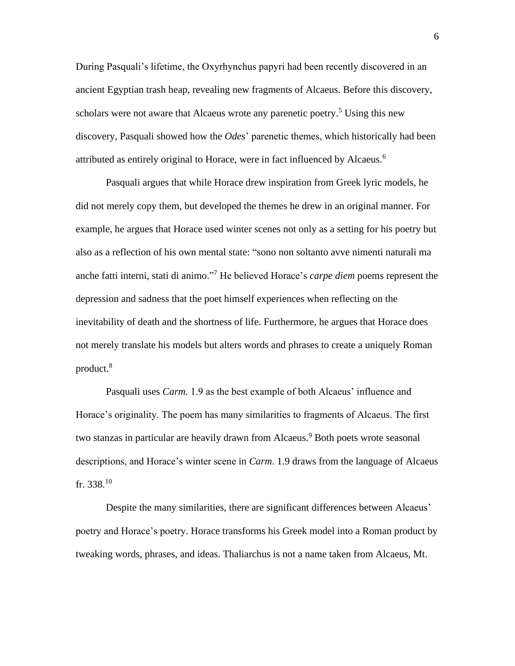During Pasquali's lifetime, the Oxyrhynchus papyri had been recently discovered in an ancient Egyptian trash heap, revealing new fragments of Alcaeus. Before this discovery, scholars were not aware that Alcaeus wrote any parenetic poetry.<sup>5</sup> Using this new discovery, Pasquali showed how the *Odes*' parenetic themes, which historically had been attributed as entirely original to Horace, were in fact influenced by Alcaeus.<sup>6</sup>

Pasquali argues that while Horace drew inspiration from Greek lyric models, he did not merely copy them, but developed the themes he drew in an original manner. For example, he argues that Horace used winter scenes not only as a setting for his poetry but also as a reflection of his own mental state: "sono non soltanto avve nimenti naturali ma anche fatti interni, stati di animo." <sup>7</sup> He believed Horace's *carpe diem* poems represent the depression and sadness that the poet himself experiences when reflecting on the inevitability of death and the shortness of life. Furthermore, he argues that Horace does not merely translate his models but alters words and phrases to create a uniquely Roman product.<sup>8</sup>

Pasquali uses *Carm.* 1.9 as the best example of both Alcaeus' influence and Horace's originality. The poem has many similarities to fragments of Alcaeus. The first two stanzas in particular are heavily drawn from Alcaeus.<sup>9</sup> Both poets wrote seasonal descriptions, and Horace's winter scene in *Carm*. 1.9 draws from the language of Alcaeus fr. 338. $10$ 

Despite the many similarities, there are significant differences between Alcaeus' poetry and Horace's poetry. Horace transforms his Greek model into a Roman product by tweaking words, phrases, and ideas. Thaliarchus is not a name taken from Alcaeus, Mt.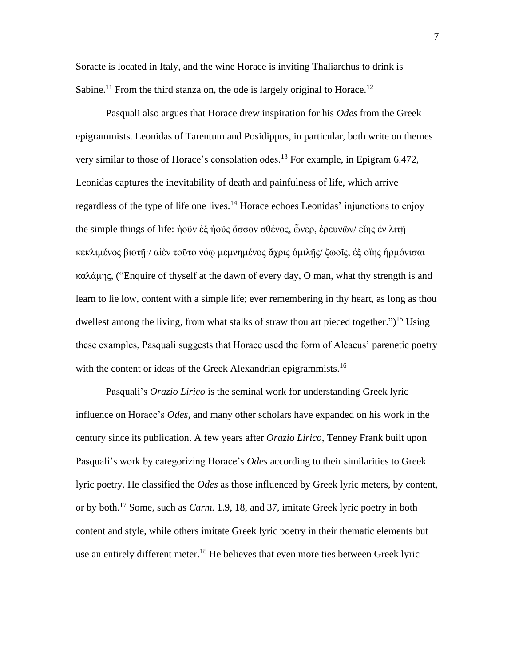Soracte is located in Italy, and the wine Horace is inviting Thaliarchus to drink is Sabine.<sup>11</sup> From the third stanza on, the ode is largely original to Horace.<sup>12</sup>

Pasquali also argues that Horace drew inspiration for his *Odes* from the Greek epigrammists. Leonidas of Tarentum and Posidippus, in particular, both write on themes very similar to those of Horace's consolation odes. <sup>13</sup> For example, in Epigram 6.472, Leonidas captures the inevitability of death and painfulness of life, which arrive regardless of the type of life one lives.<sup>14</sup> Horace echoes Leonidas' injunctions to enjoy the simple things of life: ἠοῦν ἐξ ἠοῦς ὅσσον σθένος, ὦνερ, ἐρευνῶν/ εἴης ἐν λιτῇ κεκλιμένος βιοτῇ·/ αἰὲν τοῦτο νόῳ μεμνημένος ἄχρις ὁμιλῇς/ ζωοῖς, ἐξ οἵης ἡρμόνισαι καλάμης, ("Enquire of thyself at the dawn of every day, O man, what thy strength is and learn to lie low, content with a simple life; ever remembering in thy heart, as long as thou dwellest among the living, from what stalks of straw thou art pieced together.")<sup>15</sup> Using these examples, Pasquali suggests that Horace used the form of Alcaeus' parenetic poetry with the content or ideas of the Greek Alexandrian epigrammists.<sup>16</sup>

Pasquali's *Orazio Lirico* is the seminal work for understanding Greek lyric influence on Horace's *Odes*, and many other scholars have expanded on his work in the century since its publication. A few years after *Orazio Lirico*, Tenney Frank built upon Pasquali's work by categorizing Horace's *Odes* according to their similarities to Greek lyric poetry. He classified the *Odes* as those influenced by Greek lyric meters, by content, or by both.<sup>17</sup> Some, such as *Carm.* 1.9, 18, and 37, imitate Greek lyric poetry in both content and style, while others imitate Greek lyric poetry in their thematic elements but use an entirely different meter.<sup>18</sup> He believes that even more ties between Greek lyric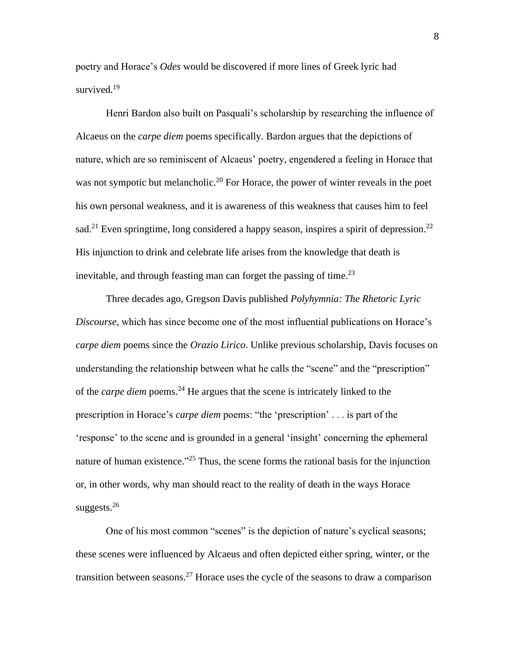poetry and Horace's *Odes* would be discovered if more lines of Greek lyric had survived.<sup>19</sup>

Henri Bardon also built on Pasquali's scholarship by researching the influence of Alcaeus on the *carpe diem* poems specifically. Bardon argues that the depictions of nature, which are so reminiscent of Alcaeus' poetry, engendered a feeling in Horace that was not sympotic but melancholic.<sup>20</sup> For Horace, the power of winter reveals in the poet his own personal weakness, and it is awareness of this weakness that causes him to feel sad.<sup>21</sup> Even springtime, long considered a happy season, inspires a spirit of depression.<sup>22</sup> His injunction to drink and celebrate life arises from the knowledge that death is inevitable, and through feasting man can forget the passing of time.<sup>23</sup>

Three decades ago, Gregson Davis published *Polyhymnia: The Rhetoric Lyric Discourse*, which has since become one of the most influential publications on Horace's *carpe diem* poems since the *Orazio Lirico*. Unlike previous scholarship, Davis focuses on understanding the relationship between what he calls the "scene" and the "prescription" of the *carpe diem* poems.<sup>24</sup> He argues that the scene is intricately linked to the prescription in Horace's *carpe diem* poems: "the 'prescription' . . . is part of the 'response' to the scene and is grounded in a general 'insight' concerning the ephemeral nature of human existence."<sup>25</sup> Thus, the scene forms the rational basis for the injunction or, in other words, why man should react to the reality of death in the ways Horace suggests. $26$ 

One of his most common "scenes" is the depiction of nature's cyclical seasons; these scenes were influenced by Alcaeus and often depicted either spring, winter, or the transition between seasons.<sup>27</sup> Horace uses the cycle of the seasons to draw a comparison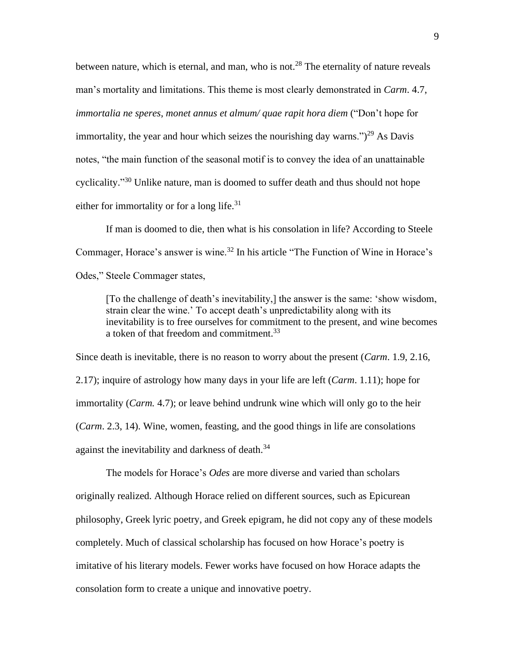between nature, which is eternal, and man, who is not.<sup>28</sup> The eternality of nature reveals man's mortality and limitations. This theme is most clearly demonstrated in *Carm*. 4.7, *immortalia ne speres*, *monet annus et almum/ quae rapit hora diem* ("Don't hope for immortality, the year and hour which seizes the nourishing day warns.")<sup>29</sup> As Davis notes, "the main function of the seasonal motif is to convey the idea of an unattainable cyclicality."<sup>30</sup> Unlike nature, man is doomed to suffer death and thus should not hope either for immortality or for a long life. $31$ 

If man is doomed to die, then what is his consolation in life? According to Steele Commager, Horace's answer is wine.<sup>32</sup> In his article "The Function of Wine in Horace's Odes," Steele Commager states,

[To the challenge of death's inevitability,] the answer is the same: 'show wisdom, strain clear the wine.' To accept death's unpredictability along with its inevitability is to free ourselves for commitment to the present, and wine becomes a token of that freedom and commitment.<sup>33</sup>

Since death is inevitable, there is no reason to worry about the present (*Carm*. 1.9, 2.16, 2.17); inquire of astrology how many days in your life are left (*Carm*. 1.11); hope for immortality (*Carm.* 4.7); or leave behind undrunk wine which will only go to the heir (*Carm*. 2.3, 14). Wine, women, feasting, and the good things in life are consolations against the inevitability and darkness of death.<sup>34</sup>

The models for Horace's *Odes* are more diverse and varied than scholars originally realized. Although Horace relied on different sources, such as Epicurean philosophy, Greek lyric poetry, and Greek epigram, he did not copy any of these models completely. Much of classical scholarship has focused on how Horace's poetry is imitative of his literary models. Fewer works have focused on how Horace adapts the consolation form to create a unique and innovative poetry.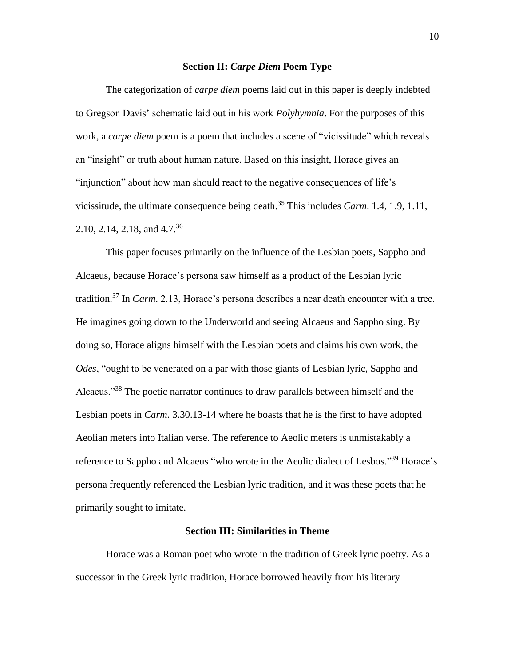#### **Section II:** *Carpe Diem* **Poem Type**

The categorization of *carpe diem* poems laid out in this paper is deeply indebted to Gregson Davis' schematic laid out in his work *Polyhymnia*. For the purposes of this work, a *carpe diem* poem is a poem that includes a scene of "vicissitude" which reveals an "insight" or truth about human nature. Based on this insight, Horace gives an "injunction" about how man should react to the negative consequences of life's vicissitude, the ultimate consequence being death.<sup>35</sup> This includes *Carm*. 1.4, 1.9, 1.11, 2.10, 2.14, 2.18, and 4.7. 36

This paper focuses primarily on the influence of the Lesbian poets, Sappho and Alcaeus, because Horace's persona saw himself as a product of the Lesbian lyric tradition.<sup>37</sup> In *Carm*. 2.13, Horace's persona describes a near death encounter with a tree. He imagines going down to the Underworld and seeing Alcaeus and Sappho sing. By doing so, Horace aligns himself with the Lesbian poets and claims his own work, the *Odes*, "ought to be venerated on a par with those giants of Lesbian lyric, Sappho and Alcaeus."<sup>38</sup> The poetic narrator continues to draw parallels between himself and the Lesbian poets in *Carm*. 3.30.13-14 where he boasts that he is the first to have adopted Aeolian meters into Italian verse. The reference to Aeolic meters is unmistakably a reference to Sappho and Alcaeus "who wrote in the Aeolic dialect of Lesbos."<sup>39</sup> Horace's persona frequently referenced the Lesbian lyric tradition, and it was these poets that he primarily sought to imitate.

#### **Section III: Similarities in Theme**

Horace was a Roman poet who wrote in the tradition of Greek lyric poetry. As a successor in the Greek lyric tradition, Horace borrowed heavily from his literary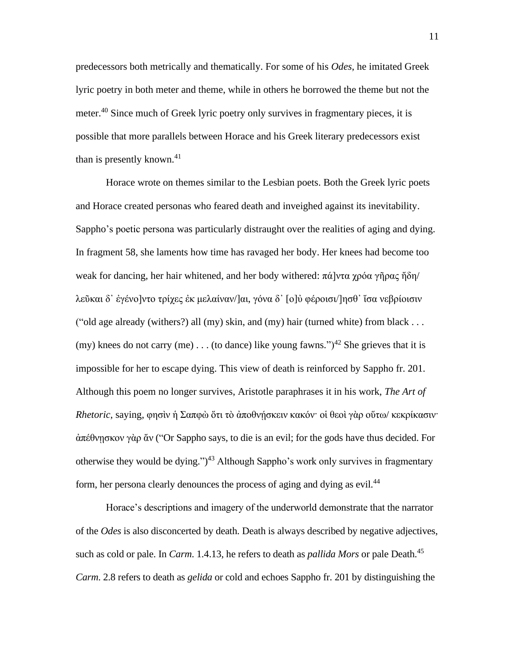predecessors both metrically and thematically. For some of his *Odes*, he imitated Greek lyric poetry in both meter and theme, while in others he borrowed the theme but not the meter.<sup>40</sup> Since much of Greek lyric poetry only survives in fragmentary pieces, it is possible that more parallels between Horace and his Greek literary predecessors exist than is presently known.<sup>41</sup>

Horace wrote on themes similar to the Lesbian poets. Both the Greek lyric poets and Horace created personas who feared death and inveighed against its inevitability. Sappho's poetic persona was particularly distraught over the realities of aging and dying. In fragment 58, she laments how time has ravaged her body. Her knees had become too weak for dancing, her hair whitened, and her body withered: πά]ντα χρόα γῆρας ἤδη/ λεῦκαι δ᾿ ἐγένο]ντο τρίχες ἐκ μελαίναν/]αι, γόνα δ᾿ [ο]ὐ φέροισι/]ησθ᾿ ἴσα νεβρίοισιν ("old age already (withers?) all (my) skin, and (my) hair (turned white) from black . . . (my) knees do not carry (me) . . . (to dance) like young fawns.")<sup>42</sup> She grieves that it is impossible for her to escape dying. This view of death is reinforced by Sappho fr. 201. Although this poem no longer survives, Aristotle paraphrases it in his work, *The Art of Rhetoric*, saying, φησὶν ἡ Σαπφὼ ὅτι τὸ ἀποθνήσκειν κακόν· οἱ θεοὶ γὰρ οὕτω/ κεκρίκασιν· ἀπέθνῃσκον γὰρ ἄν ("Or Sappho says, to die is an evil; for the gods have thus decided. For otherwise they would be dying.")<sup>43</sup> Although Sappho's work only survives in fragmentary form, her persona clearly denounces the process of aging and dying as evil.<sup>44</sup>

Horace's descriptions and imagery of the underworld demonstrate that the narrator of the *Odes* is also disconcerted by death. Death is always described by negative adjectives, such as cold or pale. In *Carm.* 1.4.13, he refers to death as *pallida Mors* or pale Death.<sup>45</sup> *Carm*. 2.8 refers to death as *gelida* or cold and echoes Sappho fr. 201 by distinguishing the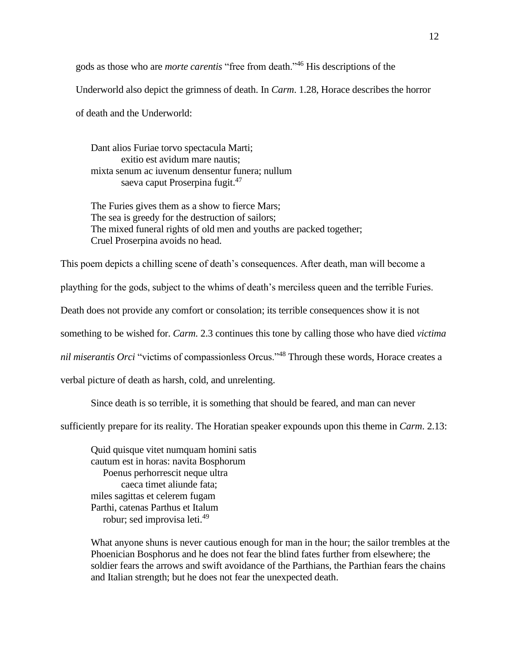gods as those who are *morte carentis* "free from death."<sup>46</sup> His descriptions of the Underworld also depict the grimness of death. In *Carm*. 1.28, Horace describes the horror of death and the Underworld:

Dant alios Furiae torvo spectacula Marti; exitio est avidum mare nautis; mixta senum ac iuvenum densentur funera; nullum saeva caput Proserpina fugit.<sup>47</sup>

The Furies gives them as a show to fierce Mars; The sea is greedy for the destruction of sailors; The mixed funeral rights of old men and youths are packed together; Cruel Proserpina avoids no head.

This poem depicts a chilling scene of death's consequences. After death, man will become a

plaything for the gods, subject to the whims of death's merciless queen and the terrible Furies.

Death does not provide any comfort or consolation; its terrible consequences show it is not

something to be wished for. *Carm.* 2.3 continues this tone by calling those who have died *victima* 

*nil miserantis Orci* "victims of compassionless Orcus."<sup>48</sup> Through these words, Horace creates a

verbal picture of death as harsh, cold, and unrelenting.

Since death is so terrible, it is something that should be feared, and man can never

sufficiently prepare for its reality. The Horatian speaker expounds upon this theme in *Carm*. 2.13:

Quid quisque vitet numquam homini satis cautum est in horas: navita Bosphorum Poenus perhorrescit neque ultra caeca timet aliunde fata; miles sagittas et celerem fugam Parthi, catenas Parthus et Italum robur; sed improvisa leti. 49

What anyone shuns is never cautious enough for man in the hour; the sailor trembles at the Phoenician Bosphorus and he does not fear the blind fates further from elsewhere; the soldier fears the arrows and swift avoidance of the Parthians, the Parthian fears the chains and Italian strength; but he does not fear the unexpected death.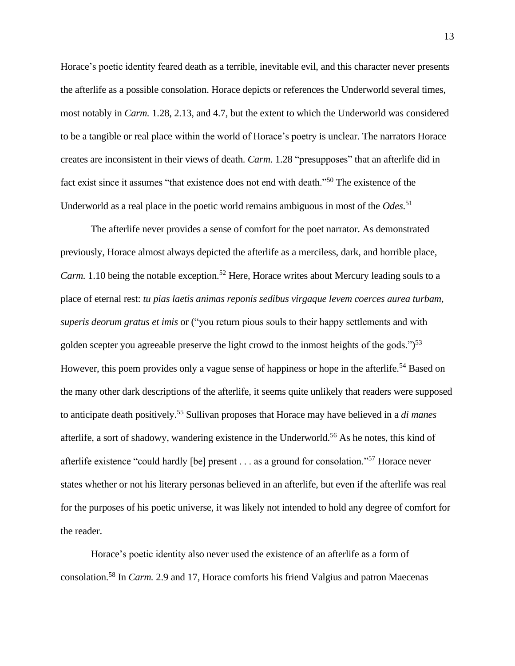Horace's poetic identity feared death as a terrible, inevitable evil, and this character never presents the afterlife as a possible consolation. Horace depicts or references the Underworld several times, most notably in *Carm.* 1.28, 2.13, and 4.7, but the extent to which the Underworld was considered to be a tangible or real place within the world of Horace's poetry is unclear. The narrators Horace creates are inconsistent in their views of death. *Carm*. 1.28 "presupposes" that an afterlife did in fact exist since it assumes "that existence does not end with death."<sup>50</sup> The existence of the Underworld as a real place in the poetic world remains ambiguous in most of the *Odes*. 51

The afterlife never provides a sense of comfort for the poet narrator. As demonstrated previously, Horace almost always depicted the afterlife as a merciless, dark, and horrible place, *Carm.* 1.10 being the notable exception.<sup>52</sup> Here, Horace writes about Mercury leading souls to a place of eternal rest: *tu pias laetis animas reponis sedibus virgaque levem coerces aurea turbam, superis deorum gratus et imis* or ("you return pious souls to their happy settlements and with golden scepter you agreeable preserve the light crowd to the inmost heights of the gods.")<sup>53</sup> However, this poem provides only a vague sense of happiness or hope in the afterlife.<sup>54</sup> Based on the many other dark descriptions of the afterlife, it seems quite unlikely that readers were supposed to anticipate death positively.<sup>55</sup> Sullivan proposes that Horace may have believed in a *di manes*  afterlife, a sort of shadowy, wandering existence in the Underworld.<sup>56</sup> As he notes, this kind of afterlife existence "could hardly [be] present . . . as a ground for consolation."<sup>57</sup> Horace never states whether or not his literary personas believed in an afterlife, but even if the afterlife was real for the purposes of his poetic universe, it was likely not intended to hold any degree of comfort for the reader.

Horace's poetic identity also never used the existence of an afterlife as a form of consolation.<sup>58</sup> In *Carm.* 2.9 and 17, Horace comforts his friend Valgius and patron Maecenas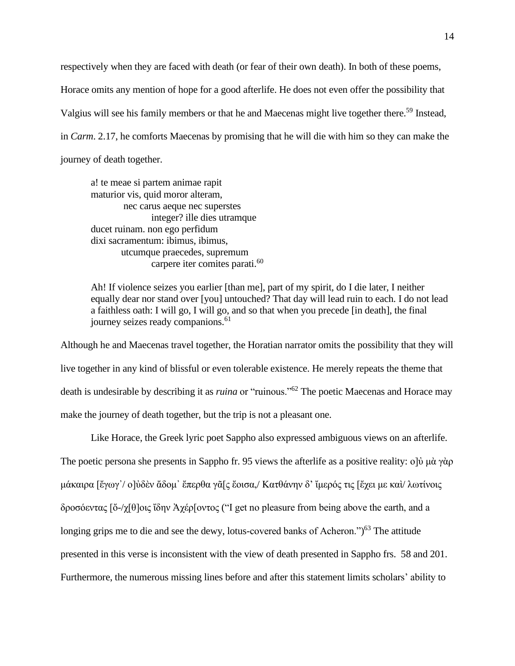respectively when they are faced with death (or fear of their own death). In both of these poems, Horace omits any mention of hope for a good afterlife. He does not even offer the possibility that Valgius will see his family members or that he and Maecenas might live together there.<sup>59</sup> Instead, in *Carm*. 2.17, he comforts Maecenas by promising that he will die with him so they can make the journey of death together.

a! te meae si partem animae rapit maturior vis, quid moror alteram, nec carus aeque nec superstes integer? ille dies utramque ducet ruinam. non ego perfidum dixi sacramentum: ibimus, ibimus, utcumque praecedes, supremum carpere iter comites parati.<sup>60</sup>

Ah! If violence seizes you earlier [than me], part of my spirit, do I die later, I neither equally dear nor stand over [you] untouched? That day will lead ruin to each. I do not lead a faithless oath: I will go, I will go, and so that when you precede [in death], the final journey seizes ready companions.<sup>61</sup>

Although he and Maecenas travel together, the Horatian narrator omits the possibility that they will live together in any kind of blissful or even tolerable existence. He merely repeats the theme that death is undesirable by describing it as *ruina* or "ruinous."<sup>62</sup> The poetic Maecenas and Horace may make the journey of death together, but the trip is not a pleasant one.

Like Horace, the Greek lyric poet Sappho also expressed ambiguous views on an afterlife. The poetic persona she presents in Sappho fr. 95 views the afterlife as a positive reality: ο]ὐ μὰ γὰρ μάκαιρα [ἔγωγ᾿/ ο]ὐδὲν ἄδομ᾿ ἔπερθα γᾶ[ς ἔοισα,/ Κατθάνην δ' ἴμερός τις [ἔχει με καὶ/ λωτίνοις δροσόεντας [ὄ-/χ[θ]οις ἴδην Ἀχέρ[οντος ("I get no pleasure from being above the earth, and a longing grips me to die and see the dewy, lotus-covered banks of Acheron.")<sup>63</sup> The attitude presented in this verse is inconsistent with the view of death presented in Sappho frs. 58 and 201. Furthermore, the numerous missing lines before and after this statement limits scholars' ability to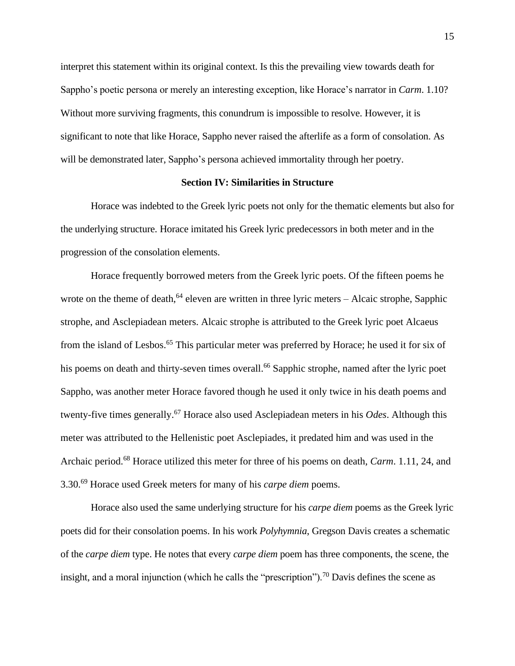interpret this statement within its original context. Is this the prevailing view towards death for Sappho's poetic persona or merely an interesting exception, like Horace's narrator in *Carm*. 1.10? Without more surviving fragments, this conundrum is impossible to resolve. However, it is significant to note that like Horace, Sappho never raised the afterlife as a form of consolation. As will be demonstrated later, Sappho's persona achieved immortality through her poetry.

#### **Section IV: Similarities in Structure**

Horace was indebted to the Greek lyric poets not only for the thematic elements but also for the underlying structure. Horace imitated his Greek lyric predecessors in both meter and in the progression of the consolation elements.

Horace frequently borrowed meters from the Greek lyric poets. Of the fifteen poems he wrote on the theme of death, $64$  eleven are written in three lyric meters – Alcaic strophe, Sapphic strophe, and Asclepiadean meters. Alcaic strophe is attributed to the Greek lyric poet Alcaeus from the island of Lesbos.<sup>65</sup> This particular meter was preferred by Horace; he used it for six of his poems on death and thirty-seven times overall.<sup>66</sup> Sapphic strophe, named after the lyric poet Sappho, was another meter Horace favored though he used it only twice in his death poems and twenty-five times generally.<sup>67</sup> Horace also used Asclepiadean meters in his *Odes*. Although this meter was attributed to the Hellenistic poet Asclepiades, it predated him and was used in the Archaic period.<sup>68</sup> Horace utilized this meter for three of his poems on death, *Carm*. 1.11, 24, and 3.30.<sup>69</sup> Horace used Greek meters for many of his *carpe diem* poems.

Horace also used the same underlying structure for his *carpe diem* poems as the Greek lyric poets did for their consolation poems. In his work *Polyhymnia*, Gregson Davis creates a schematic of the *carpe diem* type. He notes that every *carpe diem* poem has three components, the scene, the insight, and a moral injunction (which he calls the "prescription").<sup>70</sup> Davis defines the scene as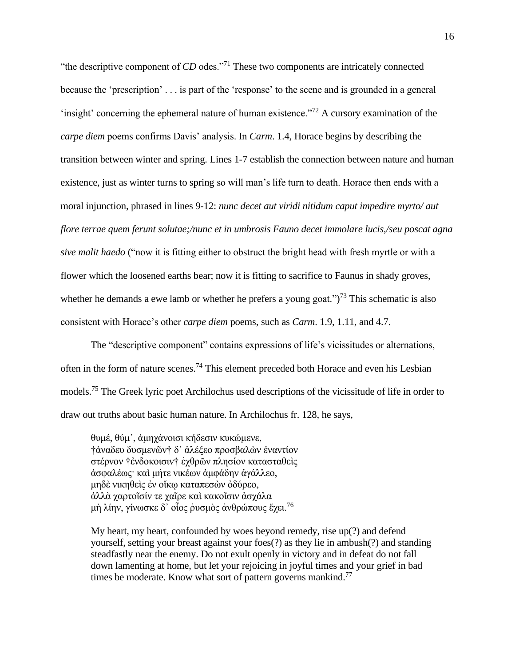"the descriptive component of *CD* odes."<sup>71</sup> These two components are intricately connected because the 'prescription' . . . is part of the 'response' to the scene and is grounded in a general 'insight' concerning the ephemeral nature of human existence."<sup>72</sup> A cursory examination of the *carpe diem* poems confirms Davis' analysis. In *Carm*. 1.4, Horace begins by describing the transition between winter and spring. Lines 1-7 establish the connection between nature and human existence, just as winter turns to spring so will man's life turn to death. Horace then ends with a moral injunction, phrased in lines 9-12: *nunc decet aut viridi nitidum caput impedire myrto/ aut flore terrae quem ferunt solutae;/nunc et in umbrosis Fauno decet immolare lucis,/seu poscat agna sive malit haedo* ("now it is fitting either to obstruct the bright head with fresh myrtle or with a flower which the loosened earths bear; now it is fitting to sacrifice to Faunus in shady groves, whether he demands a ewe lamb or whether he prefers a young goat." $)^{73}$  This schematic is also consistent with Horace's other *carpe diem* poems, such as *Carm*. 1.9, 1.11, and 4.7.

The "descriptive component" contains expressions of life's vicissitudes or alternations, often in the form of nature scenes.<sup>74</sup> This element preceded both Horace and even his Lesbian models.<sup>75</sup> The Greek lyric poet Archilochus used descriptions of the vicissitude of life in order to draw out truths about basic human nature. In Archilochus fr. 128, he says,

θυμέ, θύμ᾿, ἀμηχάνοισι κήδεσιν κυκώμενε, †ἀναδευ δυσμενῶν† δ᾿ ἀλέξεο προσβαλὼν ἐναντίον στέρνον †ἐνδοκοισιν† ἐχθρῶν πλησίον κατασταθεὶς ἀσφαλέως· καὶ μήτε νικέων ἀμφάδην ἀγάλλεο, μηδὲ νικηθεὶς ἐν οἴκῳ καταπεσὼν ὀδύρεο, ἀλλὰ χαρτοῖσίν τε χαῖρε καὶ κακοῖσιν ἀσχάλα μὴ λίην, γίνωσκε δ' οἶος ρυσμὸς ἀνθρώπους ἔχει.<sup>76</sup>

My heart, my heart, confounded by woes beyond remedy, rise up(?) and defend yourself, setting your breast against your foes(?) as they lie in ambush(?) and standing steadfastly near the enemy. Do not exult openly in victory and in defeat do not fall down lamenting at home, but let your rejoicing in joyful times and your grief in bad times be moderate. Know what sort of pattern governs mankind.<sup>77</sup>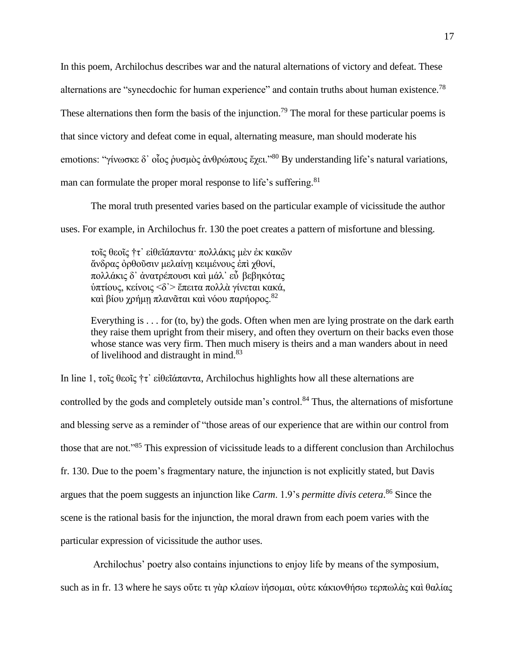In this poem, Archilochus describes war and the natural alternations of victory and defeat. These alternations are "synecdochic for human experience" and contain truths about human existence.<sup>78</sup> These alternations then form the basis of the injunction.<sup>79</sup> The moral for these particular poems is that since victory and defeat come in equal, alternating measure, man should moderate his emotions: "γίνωσκε δ' οἶος ῥυσμὸς ἀνθρώπους ἔχει."<sup>80</sup> By understanding life's natural variations, man can formulate the proper moral response to life's suffering.<sup>81</sup>

The moral truth presented varies based on the particular example of vicissitude the author uses. For example, in Archilochus fr. 130 the poet creates a pattern of misfortune and blessing.

τοῖς θεοῖς †τ᾿ εἰθεῖάπαντα· πολλάκις μὲν ἐκ κακῶν ἄνδρας ὀρθοῦσιν μελαίνῃ κειμένους ἐπὶ χθονί, πολλάκις δ᾿ ἀνατρέπουσι καὶ μάλ᾿ εὖ βεβηκότας ὑπτίους, κείνοις <δ᾿> ἔπειτα πολλὰ γίνεται κακά, καὶ βίου χρήμη πλανᾶται καὶ νόου παρήορος.<sup>82</sup>

Everything is . . . for (to, by) the gods. Often when men are lying prostrate on the dark earth they raise them upright from their misery, and often they overturn on their backs even those whose stance was very firm. Then much misery is theirs and a man wanders about in need of livelihood and distraught in mind.<sup>83</sup>

In line 1, τοῖς θεοῖς †τ' εἰθεῖάπαντα, Archilochus highlights how all these alternations are controlled by the gods and completely outside man's control.<sup>84</sup> Thus, the alternations of misfortune and blessing serve as a reminder of "those areas of our experience that are within our control from those that are not."<sup>85</sup> This expression of vicissitude leads to a different conclusion than Archilochus fr. 130. Due to the poem's fragmentary nature, the injunction is not explicitly stated, but Davis argues that the poem suggests an injunction like *Carm*. 1.9's *permitte divis cetera*. <sup>86</sup> Since the scene is the rational basis for the injunction, the moral drawn from each poem varies with the particular expression of vicissitude the author uses.

Archilochus' poetry also contains injunctions to enjoy life by means of the symposium,

such as in fr. 13 where he says οὖτε τι γὰρ κλαίων ἰήσομαι, οὐτε κάκιονθήσω τερπωλὰς καὶ θαλίας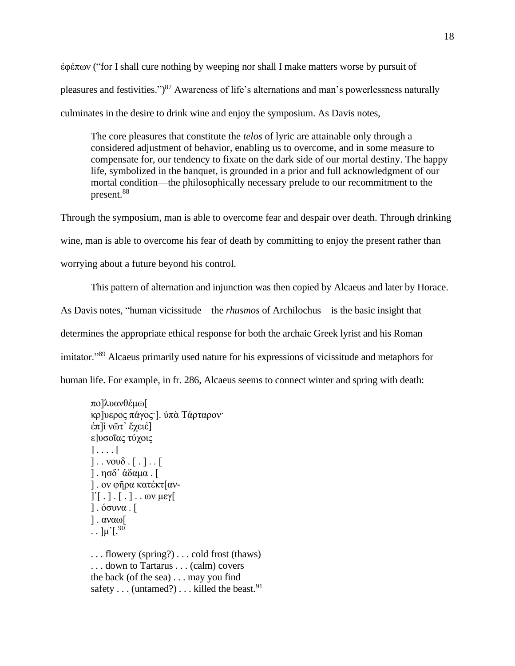ἐφέπων ("for I shall cure nothing by weeping nor shall I make matters worse by pursuit of pleasures and festivities.")<sup>87</sup> Awareness of life's alternations and man's powerlessness naturally culminates in the desire to drink wine and enjoy the symposium. As Davis notes,

The core pleasures that constitute the *telos* of lyric are attainable only through a considered adjustment of behavior, enabling us to overcome, and in some measure to compensate for, our tendency to fixate on the dark side of our mortal destiny. The happy life, symbolized in the banquet, is grounded in a prior and full acknowledgment of our mortal condition—the philosophically necessary prelude to our recommitment to the present.<sup>88</sup>

Through the symposium, man is able to overcome fear and despair over death. Through drinking wine, man is able to overcome his fear of death by committing to enjoy the present rather than worrying about a future beyond his control.

This pattern of alternation and injunction was then copied by Alcaeus and later by Horace. As Davis notes, "human vicissitude—the *rhusmos* of Archilochus—is the basic insight that determines the appropriate ethical response for both the archaic Greek lyrist and his Roman imitator."<sup>89</sup> Alcaeus primarily used nature for his expressions of vicissitude and metaphors for human life. For example, in fr. 286, Alcaeus seems to connect winter and spring with death:

```
πο]λυανθέμω[
κρ]υερος πάγος·]. ὐπὰ Τάρταρον·
έπ]ὶ νῶτ' ἔχειέ]
ε]υσοΐας τύχοις
] \ldots [] \ldots νουδ . [.]. [
] . ησδ᾿ ἀδαμα . [
] . ον φῆρα κατέκτ[αν-
\begin{bmatrix} \cdot & \cdot & \cdot \\ \cdot & \cdot & \cdot \end{bmatrix}. \begin{bmatrix} \cdot & \cdot & \cdot \\ \cdot & \cdot & \cdot \end{bmatrix}] . όσυνα . [
] . αναω[
. \mu<sup>[90]</sup>
. . . flowery (spring?) . . . cold frost (thaws) 
. . . down to Tartarus . . . (calm) covers 
the back (of the sea) . . . may you find 
safety \dots (untamed?) \dots killed the beast.<sup>91</sup>
```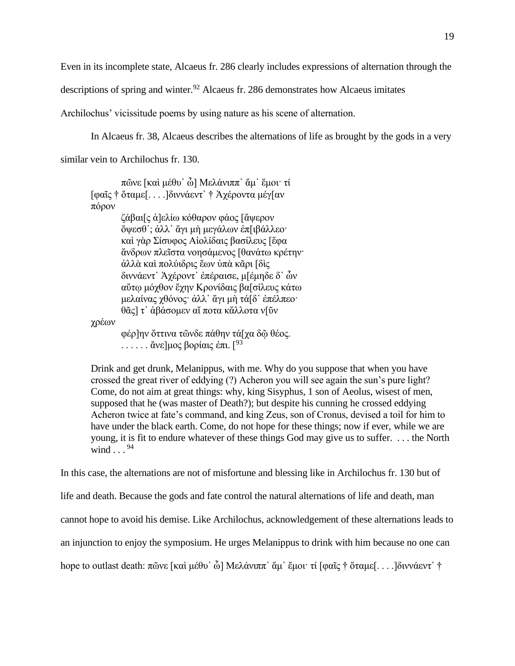Even in its incomplete state, Alcaeus fr. 286 clearly includes expressions of alternation through the

descriptions of spring and winter. <sup>92</sup> Alcaeus fr. 286 demonstrates how Alcaeus imitates

Archilochus' vicissitude poems by using nature as his scene of alternation.

In Alcaeus fr. 38, Alcaeus describes the alternations of life as brought by the gods in a very

similar vein to Archilochus fr. 130.

πῶνε [καὶ μέθυ᾿ ὦ] Μελάνιππ᾿ ἄμ᾿ ἔμοι· τί [φαῖς † ὄταμε[. . . .]διννάεντ᾿ † Ἀχέροντα μέγ[αν πόρον ζάβαι[ς ἀ]ελίω κόθαρον φάος [ἄψερον ὄψεσθ᾿; ἀλλ᾿ ἄγι μὴ μεγάλων ἐπ[ιβάλλεο· καὶ γὰρ Σίσυφος Αἰολίδαις βασίλευς [ἔφα ἄνδρων πλεῖστα νοησάμενος [θανάτω κρέτην· ἀλλὰ καὶ πολύιδρις ἔων ὐπὰ κᾶρι [δὶς διννάεντ᾿ Ἀχέροντ᾿ ἐπέραισε, μ[έμηδε δ᾿ ὦν αὔτῳ μόχθον ἔχην Κρονίδαις βα[σίλευς κάτω μελαίνας χθόνος· ἀλλ᾿ ἄγι μὴ τά[δ᾿ ἐπέλπεο· θᾶς] τ᾿ ἀβάσομεν αἴ ποτα κἄλλοτα ν[ῦν χρέων φέρ]ην ὄττινα τῶνδε πάθην τά[χα δῷ θέος.  $\ldots$  . . . . . άνε]μος βορίαις έπι. [<sup>93</sup>

Drink and get drunk, Melanippus, with me. Why do you suppose that when you have crossed the great river of eddying (?) Acheron you will see again the sun's pure light? Come, do not aim at great things: why, king Sisyphus, 1 son of Aeolus, wisest of men, supposed that he (was master of Death?); but despite his cunning he crossed eddying Acheron twice at fate's command, and king Zeus, son of Cronus, devised a toil for him to have under the black earth. Come, do not hope for these things; now if ever, while we are young, it is fit to endure whatever of these things God may give us to suffer. . . . the North wind  $\ldots$ <sup>94</sup>

In this case, the alternations are not of misfortune and blessing like in Archilochus fr. 130 but of life and death. Because the gods and fate control the natural alternations of life and death, man cannot hope to avoid his demise. Like Archilochus, acknowledgement of these alternations leads to an injunction to enjoy the symposium. He urges Melanippus to drink with him because no one can hope to outlast death: πῶνε [καὶ μέθυ<sup>,</sup> ὦ] Μελάνιππ<sup>ο</sup> ἄμος ἔμοι· τί [φαῖς † ὅταμε[...]διννάεντο †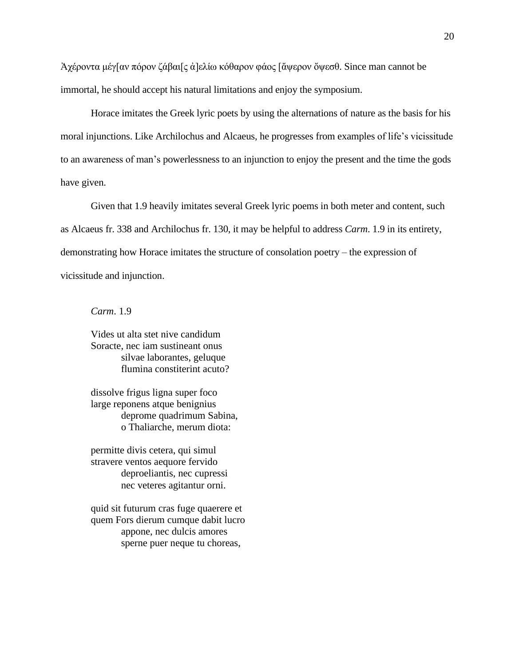Ἀχέροντα μέγ[αν πόρον ζάβαι[ς ἀ]ελίω κόθαρον φάος [ἄψερον ὄψεσθ. Since man cannot be immortal, he should accept his natural limitations and enjoy the symposium.

Horace imitates the Greek lyric poets by using the alternations of nature as the basis for his moral injunctions. Like Archilochus and Alcaeus, he progresses from examples of life's vicissitude to an awareness of man's powerlessness to an injunction to enjoy the present and the time the gods have given.

Given that 1.9 heavily imitates several Greek lyric poems in both meter and content, such as Alcaeus fr. 338 and Archilochus fr. 130, it may be helpful to address *Carm*. 1.9 in its entirety, demonstrating how Horace imitates the structure of consolation poetry – the expression of vicissitude and injunction.

*Carm*. 1.9

Vides ut alta stet nive candidum Soracte, nec iam sustineant onus silvae laborantes, geluque flumina constiterint acuto?

dissolve frigus ligna super foco large reponens atque benignius deprome quadrimum Sabina, o Thaliarche, merum diota:

permitte divis cetera, qui simul stravere ventos aequore fervido deproeliantis, nec cupressi nec veteres agitantur orni.

quid sit futurum cras fuge quaerere et quem Fors dierum cumque dabit lucro appone, nec dulcis amores sperne puer neque tu choreas,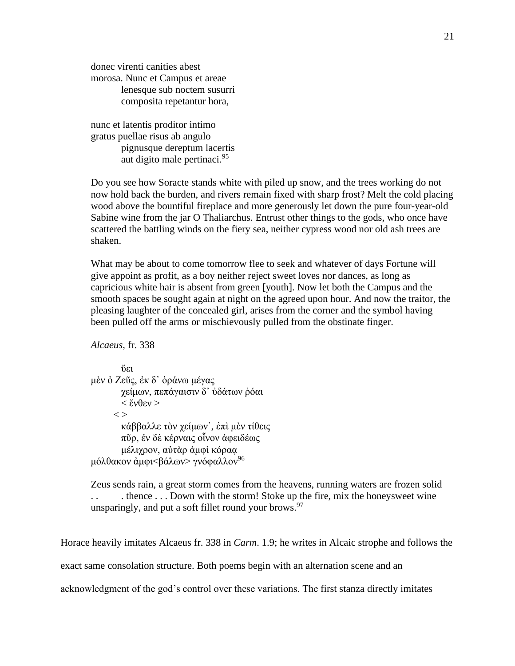donec virenti canities abest morosa. Nunc et Campus et areae lenesque sub noctem susurri composita repetantur hora,

nunc et latentis proditor intimo gratus puellae risus ab angulo pignusque dereptum lacertis aut digito male pertinaci.<sup>95</sup>

Do you see how Soracte stands white with piled up snow, and the trees working do not now hold back the burden, and rivers remain fixed with sharp frost? Melt the cold placing wood above the bountiful fireplace and more generously let down the pure four-year-old Sabine wine from the jar O Thaliarchus. Entrust other things to the gods, who once have scattered the battling winds on the fiery sea, neither cypress wood nor old ash trees are shaken.

What may be about to come tomorrow flee to seek and whatever of days Fortune will give appoint as profit, as a boy neither reject sweet loves nor dances, as long as capricious white hair is absent from green [youth]. Now let both the Campus and the smooth spaces be sought again at night on the agreed upon hour. And now the traitor, the pleasing laughter of the concealed girl, arises from the corner and the symbol having been pulled off the arms or mischievously pulled from the obstinate finger.

*Alcaeus*, fr. 338

ὔει μὲν ὀ Ζεῦς, ἐκ δ᾿ ὀράνω μέγας χείμων, πεπάγαισιν δ᾿ ὐδάτων ῤόαι < ἔνθεν >  $\langle$   $>$ κάββαλλε τὸν χείμων', ἐπὶ μὲν τίθεις πῦρ, ἐν δὲ κέρναις οἶνον ἀφειδέως μέλιχρον, αὐτὰρ ἀμφὶ κόραᾳ μόλθακον άμφι<βάλων> γνόφαλλον<sup>96</sup>

Zeus sends rain, a great storm comes from the heavens, running waters are frozen solid . thence  $\ldots$  Down with the storm! Stoke up the fire, mix the honeysweet wine unsparingly, and put a soft fillet round your brows.  $97$ 

Horace heavily imitates Alcaeus fr. 338 in *Carm*. 1.9; he writes in Alcaic strophe and follows the

exact same consolation structure. Both poems begin with an alternation scene and an

acknowledgment of the god's control over these variations. The first stanza directly imitates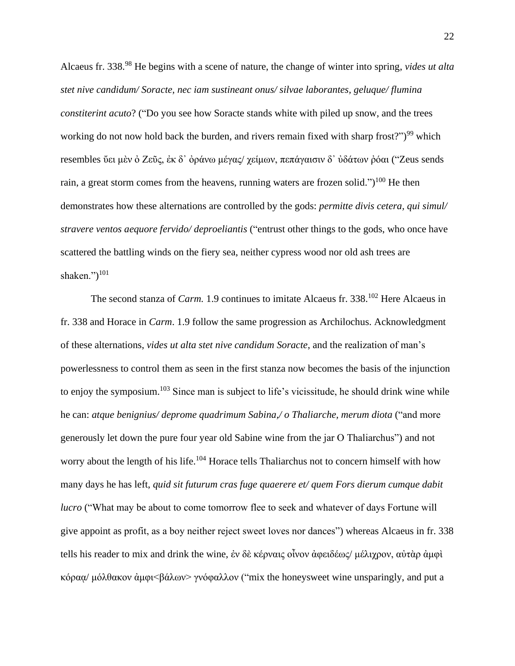Alcaeus fr. 338.<sup>98</sup> He begins with a scene of nature, the change of winter into spring, *vides ut alta stet nive candidum/ Soracte, nec iam sustineant onus/ silvae laborantes, geluque/ flumina constiterint acuto*? ("Do you see how Soracte stands white with piled up snow, and the trees working do not now hold back the burden, and rivers remain fixed with sharp frost?" $)^{99}$  which resembles ὖει μὲν ὀ Ζεῦς, ἐκ δ' ὀράνω μέγας/ χείμων, πεπάγαισιν δ' ὐδάτων ῥόαι ("Zeus sends rain, a great storm comes from the heavens, running waters are frozen solid.")<sup>100</sup> He then demonstrates how these alternations are controlled by the gods: *permitte divis cetera, qui simul/ stravere ventos aequore fervido/ deproeliantis* ("entrust other things to the gods, who once have scattered the battling winds on the fiery sea, neither cypress wood nor old ash trees are shaken.")<sup>101</sup>

The second stanza of *Carm.* 1.9 continues to imitate Alcaeus fr. 338.<sup>102</sup> Here Alcaeus in fr. 338 and Horace in *Carm*. 1.9 follow the same progression as Archilochus. Acknowledgment of these alternations, *vides ut alta stet nive candidum Soracte*, and the realization of man's powerlessness to control them as seen in the first stanza now becomes the basis of the injunction to enjoy the symposium.<sup>103</sup> Since man is subject to life's vicissitude, he should drink wine while he can: *atque benignius/ deprome quadrimum Sabina,/ o Thaliarche, merum diota* ("and more generously let down the pure four year old Sabine wine from the jar O Thaliarchus") and not worry about the length of his life.<sup>104</sup> Horace tells Thaliarchus not to concern himself with how many days he has left, *quid sit futurum cras fuge quaerere et/ quem Fors dierum cumque dabit lucro* ("What may be about to come tomorrow flee to seek and whatever of days Fortune will give appoint as profit, as a boy neither reject sweet loves nor dances") whereas Alcaeus in fr. 338 tells his reader to mix and drink the wine, ἐν δὲ κέρναις οἶνον ἀφειδέως/ μέλιχρον, αὐτὰρ ἀμφὶ κόραᾳ/ μόλθακον ἀμφι<βάλων> γνόφαλλον ("mix the honeysweet wine unsparingly, and put a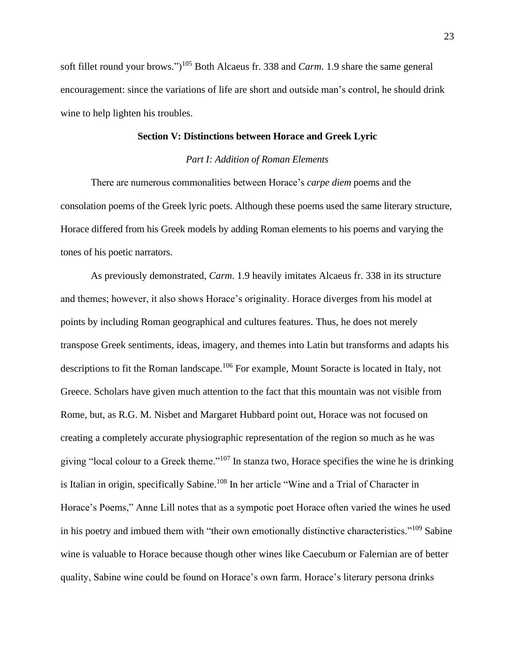soft fillet round your brows.")<sup>105</sup> Both Alcaeus fr. 338 and *Carm*. 1.9 share the same general encouragement: since the variations of life are short and outside man's control, he should drink wine to help lighten his troubles.

#### **Section V: Distinctions between Horace and Greek Lyric**

#### *Part I: Addition of Roman Elements*

There are numerous commonalities between Horace's *carpe diem* poems and the consolation poems of the Greek lyric poets. Although these poems used the same literary structure, Horace differed from his Greek models by adding Roman elements to his poems and varying the tones of his poetic narrators.

As previously demonstrated, *Carm*. 1.9 heavily imitates Alcaeus fr. 338 in its structure and themes; however, it also shows Horace's originality. Horace diverges from his model at points by including Roman geographical and cultures features. Thus, he does not merely transpose Greek sentiments, ideas, imagery, and themes into Latin but transforms and adapts his descriptions to fit the Roman landscape.<sup>106</sup> For example, Mount Soracte is located in Italy, not Greece. Scholars have given much attention to the fact that this mountain was not visible from Rome, but, as R.G. M. Nisbet and Margaret Hubbard point out, Horace was not focused on creating a completely accurate physiographic representation of the region so much as he was giving "local colour to a Greek theme."<sup>107</sup> In stanza two, Horace specifies the wine he is drinking is Italian in origin, specifically Sabine.<sup>108</sup> In her article "Wine and a Trial of Character in Horace's Poems," Anne Lill notes that as a sympotic poet Horace often varied the wines he used in his poetry and imbued them with "their own emotionally distinctive characteristics."<sup>109</sup> Sabine wine is valuable to Horace because though other wines like Caecubum or Falernian are of better quality, Sabine wine could be found on Horace's own farm. Horace's literary persona drinks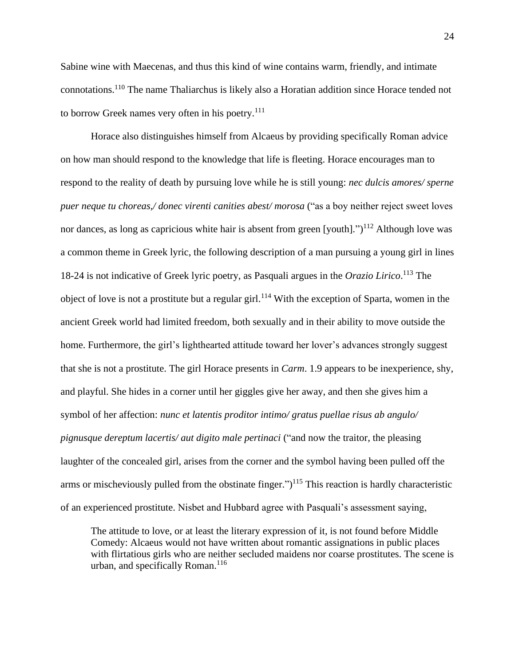Sabine wine with Maecenas, and thus this kind of wine contains warm, friendly, and intimate connotations.<sup>110</sup> The name Thaliarchus is likely also a Horatian addition since Horace tended not to borrow Greek names very often in his poetry. $111$ 

Horace also distinguishes himself from Alcaeus by providing specifically Roman advice on how man should respond to the knowledge that life is fleeting. Horace encourages man to respond to the reality of death by pursuing love while he is still young: *nec dulcis amores/ sperne puer neque tu choreas,/ donec virenti canities abest/ morosa* ("as a boy neither reject sweet loves nor dances, as long as capricious white hair is absent from green [youth].")<sup>112</sup> Although love was a common theme in Greek lyric, the following description of a man pursuing a young girl in lines 18-24 is not indicative of Greek lyric poetry, as Pasquali argues in the *Orazio Lirico*. <sup>113</sup> The object of love is not a prostitute but a regular girl.<sup>114</sup> With the exception of Sparta, women in the ancient Greek world had limited freedom, both sexually and in their ability to move outside the home. Furthermore, the girl's lighthearted attitude toward her lover's advances strongly suggest that she is not a prostitute. The girl Horace presents in *Carm*. 1.9 appears to be inexperience, shy, and playful. She hides in a corner until her giggles give her away, and then she gives him a symbol of her affection: *nunc et latentis proditor intimo/ gratus puellae risus ab angulo/ pignusque dereptum lacertis/ aut digito male pertinaci* ("and now the traitor, the pleasing laughter of the concealed girl, arises from the corner and the symbol having been pulled off the arms or mischeviously pulled from the obstinate finger.")<sup>115</sup> This reaction is hardly characteristic of an experienced prostitute. Nisbet and Hubbard agree with Pasquali's assessment saying,

The attitude to love, or at least the literary expression of it, is not found before Middle Comedy: Alcaeus would not have written about romantic assignations in public places with flirtatious girls who are neither secluded maidens nor coarse prostitutes. The scene is urban, and specifically Roman.<sup>116</sup>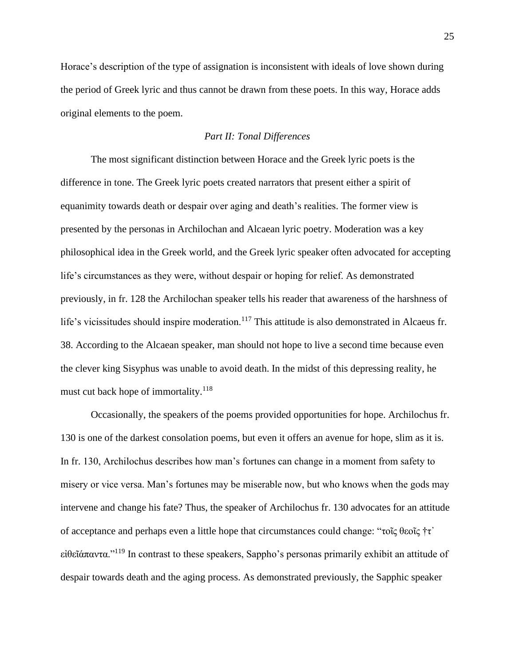Horace's description of the type of assignation is inconsistent with ideals of love shown during the period of Greek lyric and thus cannot be drawn from these poets. In this way, Horace adds original elements to the poem.

#### *Part II: Tonal Differences*

The most significant distinction between Horace and the Greek lyric poets is the difference in tone. The Greek lyric poets created narrators that present either a spirit of equanimity towards death or despair over aging and death's realities. The former view is presented by the personas in Archilochan and Alcaean lyric poetry. Moderation was a key philosophical idea in the Greek world, and the Greek lyric speaker often advocated for accepting life's circumstances as they were, without despair or hoping for relief. As demonstrated previously, in fr. 128 the Archilochan speaker tells his reader that awareness of the harshness of life's vicissitudes should inspire moderation.<sup>117</sup> This attitude is also demonstrated in Alcaeus fr. 38. According to the Alcaean speaker, man should not hope to live a second time because even the clever king Sisyphus was unable to avoid death. In the midst of this depressing reality, he must cut back hope of immortality.<sup>118</sup>

Occasionally, the speakers of the poems provided opportunities for hope. Archilochus fr. 130 is one of the darkest consolation poems, but even it offers an avenue for hope, slim as it is. In fr. 130, Archilochus describes how man's fortunes can change in a moment from safety to misery or vice versa. Man's fortunes may be miserable now, but who knows when the gods may intervene and change his fate? Thus, the speaker of Archilochus fr. 130 advocates for an attitude of acceptance and perhaps even a little hope that circumstances could change: "τοῖς θεοῖς †τ᾿ εἰθεῖάπαντα."<sup>119</sup> In contrast to these speakers, Sappho's personas primarily exhibit an attitude of despair towards death and the aging process. As demonstrated previously, the Sapphic speaker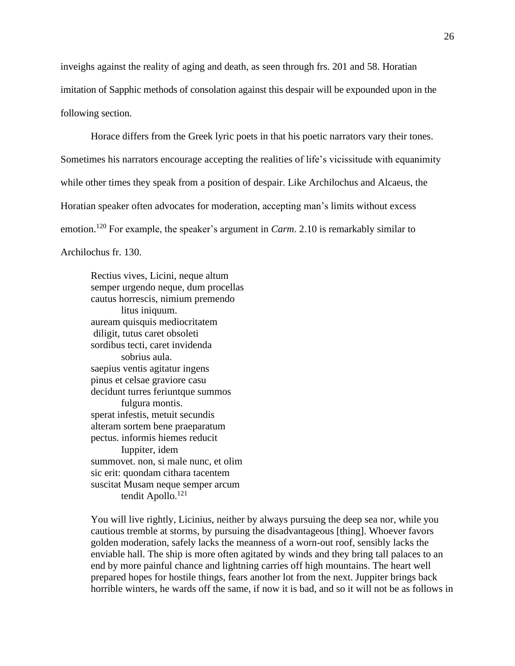inveighs against the reality of aging and death, as seen through frs. 201 and 58. Horatian imitation of Sapphic methods of consolation against this despair will be expounded upon in the following section.

Horace differs from the Greek lyric poets in that his poetic narrators vary their tones. Sometimes his narrators encourage accepting the realities of life's vicissitude with equanimity while other times they speak from a position of despair. Like Archilochus and Alcaeus, the Horatian speaker often advocates for moderation, accepting man's limits without excess emotion. <sup>120</sup> For example, the speaker's argument in *Carm*. 2.10 is remarkably similar to Archilochus fr. 130.

Rectius vives, Licini, neque altum semper urgendo neque, dum procellas cautus horrescis, nimium premendo litus iniquum. auream quisquis mediocritatem diligit, tutus caret obsoleti sordibus tecti, caret invidenda sobrius aula. saepius ventis agitatur ingens pinus et celsae graviore casu decidunt turres feriuntque summos fulgura montis. sperat infestis, metuit secundis alteram sortem bene praeparatum pectus. informis hiemes reducit Iuppiter, idem summovet. non, si male nunc, et olim sic erit: quondam cithara tacentem suscitat Musam neque semper arcum tendit Apollo.<sup>121</sup>

You will live rightly, Licinius, neither by always pursuing the deep sea nor, while you cautious tremble at storms, by pursuing the disadvantageous [thing]. Whoever favors golden moderation, safely lacks the meanness of a worn-out roof, sensibly lacks the enviable hall. The ship is more often agitated by winds and they bring tall palaces to an end by more painful chance and lightning carries off high mountains. The heart well prepared hopes for hostile things, fears another lot from the next. Juppiter brings back horrible winters, he wards off the same, if now it is bad, and so it will not be as follows in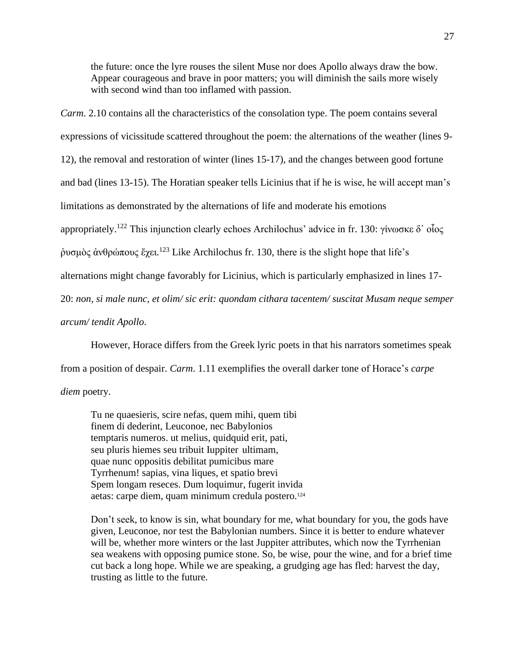the future: once the lyre rouses the silent Muse nor does Apollo always draw the bow. Appear courageous and brave in poor matters; you will diminish the sails more wisely with second wind than too inflamed with passion.

*Carm*. 2.10 contains all the characteristics of the consolation type. The poem contains several

expressions of vicissitude scattered throughout the poem: the alternations of the weather (lines 9- 12), the removal and restoration of winter (lines 15-17), and the changes between good fortune and bad (lines 13-15). The Horatian speaker tells Licinius that if he is wise, he will accept man's limitations as demonstrated by the alternations of life and moderate his emotions appropriately.<sup>122</sup> This injunction clearly echoes Archilochus' advice in fr. 130: γίνωσκε δ' οἶος ρυσμὸς ἀνθρώπους ἔχει.<sup>123</sup> Like Archilochus fr. 130, there is the slight hope that life's alternations might change favorably for Licinius, which is particularly emphasized in lines 17- 20: *non, si male nunc, et olim/ sic erit: quondam cithara tacentem/ suscitat Musam neque semper arcum/ tendit Apollo*.

However, Horace differs from the Greek lyric poets in that his narrators sometimes speak from a position of despair. *Carm*. 1.11 exemplifies the overall darker tone of Horace's *carpe diem* poetry.

Tu ne quaesieris, scire nefas, quem mihi, quem tibi finem di dederint, Leuconoe, nec Babylonios temptaris numeros. ut melius, quidquid erit, pati, seu pluris hiemes seu tribuit Iuppiter ultimam, quae nunc oppositis debilitat pumicibus mare Tyrrhenum! sapias, vina liques, et spatio brevi Spem longam reseces. Dum loquimur, fugerit invida aetas: carpe diem, quam minimum credula postero.<sup>124</sup>

Don't seek, to know is sin, what boundary for me, what boundary for you, the gods have given, Leuconoe, nor test the Babylonian numbers. Since it is better to endure whatever will be, whether more winters or the last Juppiter attributes, which now the Tyrrhenian sea weakens with opposing pumice stone. So, be wise, pour the wine, and for a brief time cut back a long hope. While we are speaking, a grudging age has fled: harvest the day, trusting as little to the future.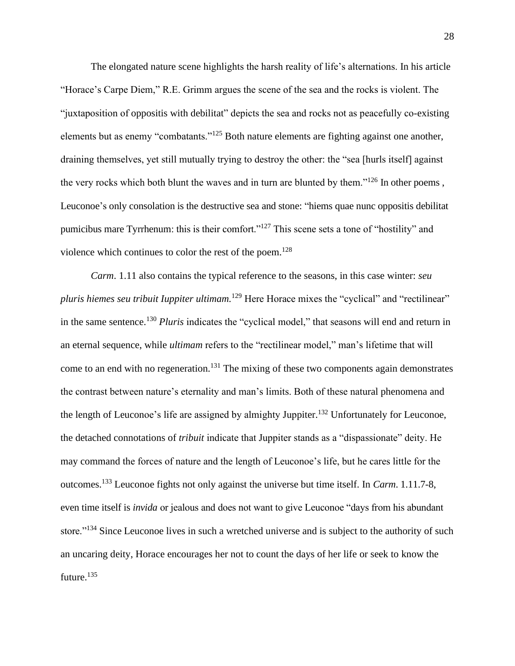The elongated nature scene highlights the harsh reality of life's alternations. In his article "Horace's Carpe Diem," R.E. Grimm argues the scene of the sea and the rocks is violent. The "juxtaposition of oppositis with debilitat" depicts the sea and rocks not as peacefully co-existing elements but as enemy "combatants."<sup>125</sup> Both nature elements are fighting against one another, draining themselves, yet still mutually trying to destroy the other: the "sea [hurls itself] against the very rocks which both blunt the waves and in turn are blunted by them."<sup>126</sup> In other poems, Leuconoe's only consolation is the destructive sea and stone: "hiems quae nunc oppositis debilitat pumicibus mare Tyrrhenum: this is their comfort."<sup>127</sup> This scene sets a tone of "hostility" and violence which continues to color the rest of the poem.<sup>128</sup>

*Carm*. 1.11 also contains the typical reference to the seasons, in this case winter: *seu pluris hiemes seu tribuit Iuppiter ultimam.*<sup>129</sup> Here Horace mixes the "cyclical" and "rectilinear" in the same sentence.<sup>130</sup> *Pluris* indicates the "cyclical model," that seasons will end and return in an eternal sequence, while *ultimam* refers to the "rectilinear model," man's lifetime that will come to an end with no regeneration.<sup>131</sup> The mixing of these two components again demonstrates the contrast between nature's eternality and man's limits. Both of these natural phenomena and the length of Leuconoe's life are assigned by almighty Juppiter.<sup>132</sup> Unfortunately for Leuconoe, the detached connotations of *tribuit* indicate that Juppiter stands as a "dispassionate" deity. He may command the forces of nature and the length of Leuconoe's life, but he cares little for the outcomes.<sup>133</sup> Leuconoe fights not only against the universe but time itself. In *Carm*. 1.11.7-8, even time itself is *invida* or jealous and does not want to give Leuconoe "days from his abundant store."<sup>134</sup> Since Leuconoe lives in such a wretched universe and is subject to the authority of such an uncaring deity, Horace encourages her not to count the days of her life or seek to know the future.<sup>135</sup>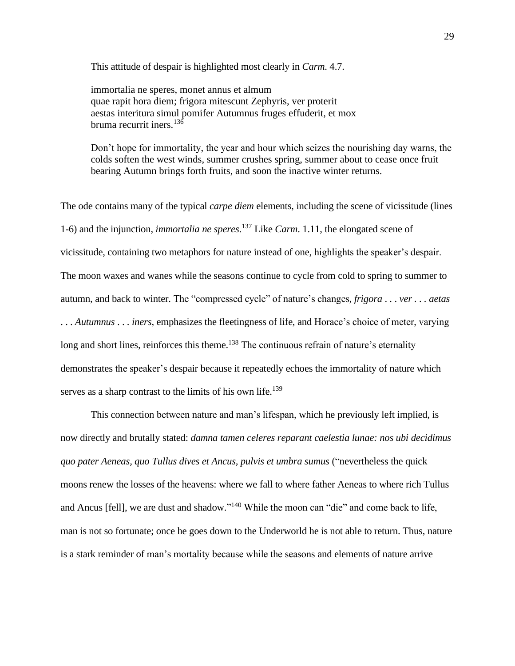This attitude of despair is highlighted most clearly in *Carm*. 4.7.

immortalia ne speres, monet annus et almum quae rapit hora diem; frigora mitescunt Zephyris, ver proterit aestas interitura simul pomifer Autumnus fruges effuderit, et mox bruma recurrit iners.<sup>136</sup>

Don't hope for immortality, the year and hour which seizes the nourishing day warns, the colds soften the west winds, summer crushes spring, summer about to cease once fruit bearing Autumn brings forth fruits, and soon the inactive winter returns.

The ode contains many of the typical *carpe diem* elements, including the scene of vicissitude (lines 1-6) and the injunction, *immortalia ne speres*. <sup>137</sup> Like *Carm*. 1.11, the elongated scene of vicissitude, containing two metaphors for nature instead of one, highlights the speaker's despair. The moon waxes and wanes while the seasons continue to cycle from cold to spring to summer to autumn, and back to winter. The "compressed cycle" of nature's changes, *frigora* . . . *ver . . . aetas* . . . *Autumnus* . . . *iners*, emphasizes the fleetingness of life, and Horace's choice of meter, varying long and short lines, reinforces this theme.<sup>138</sup> The continuous refrain of nature's eternality demonstrates the speaker's despair because it repeatedly echoes the immortality of nature which serves as a sharp contrast to the limits of his own life.<sup>139</sup>

This connection between nature and man's lifespan, which he previously left implied, is now directly and brutally stated: *damna tamen celeres reparant caelestia lunae: nos ubi decidimus quo pater Aeneas, quo Tullus dives et Ancus, pulvis et umbra sumus* ("nevertheless the quick moons renew the losses of the heavens: where we fall to where father Aeneas to where rich Tullus and Ancus [fell], we are dust and shadow."<sup>140</sup> While the moon can "die" and come back to life, man is not so fortunate; once he goes down to the Underworld he is not able to return. Thus, nature is a stark reminder of man's mortality because while the seasons and elements of nature arrive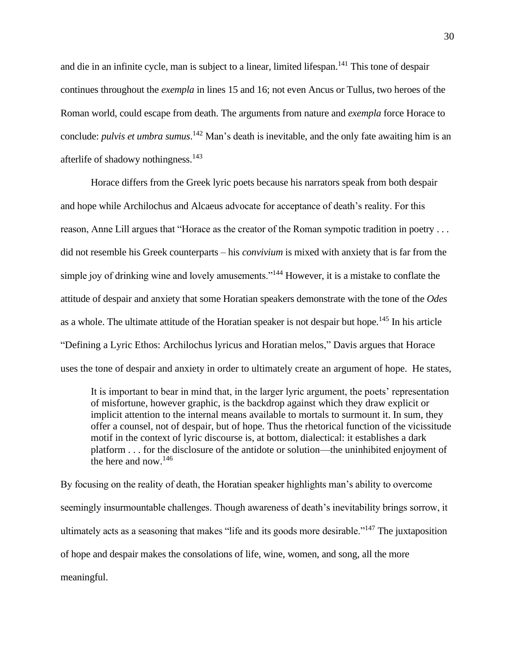and die in an infinite cycle, man is subject to a linear, limited lifespan.<sup>141</sup> This tone of despair continues throughout the *exempla* in lines 15 and 16; not even Ancus or Tullus, two heroes of the Roman world, could escape from death. The arguments from nature and *exempla* force Horace to conclude: *pulvis et umbra sumus*. <sup>142</sup> Man's death is inevitable, and the only fate awaiting him is an afterlife of shadowy nothingness.<sup>143</sup>

Horace differs from the Greek lyric poets because his narrators speak from both despair and hope while Archilochus and Alcaeus advocate for acceptance of death's reality. For this reason, Anne Lill argues that "Horace as the creator of the Roman sympotic tradition in poetry . . . did not resemble his Greek counterparts – his *convivium* is mixed with anxiety that is far from the simple joy of drinking wine and lovely amusements."<sup>144</sup> However, it is a mistake to conflate the attitude of despair and anxiety that some Horatian speakers demonstrate with the tone of the *Odes*  as a whole. The ultimate attitude of the Horatian speaker is not despair but hope.<sup>145</sup> In his article "Defining a Lyric Ethos: Archilochus lyricus and Horatian melos," Davis argues that Horace uses the tone of despair and anxiety in order to ultimately create an argument of hope. He states,

It is important to bear in mind that, in the larger lyric argument, the poets' representation of misfortune, however graphic, is the backdrop against which they draw explicit or implicit attention to the internal means available to mortals to surmount it. In sum, they offer a counsel, not of despair, but of hope. Thus the rhetorical function of the vicissitude motif in the context of lyric discourse is, at bottom, dialectical: it establishes a dark platform . . . for the disclosure of the antidote or solution—the uninhibited enjoyment of the here and now.<sup>146</sup>

By focusing on the reality of death, the Horatian speaker highlights man's ability to overcome seemingly insurmountable challenges. Though awareness of death's inevitability brings sorrow, it ultimately acts as a seasoning that makes "life and its goods more desirable."<sup>147</sup> The juxtaposition of hope and despair makes the consolations of life, wine, women, and song, all the more meaningful.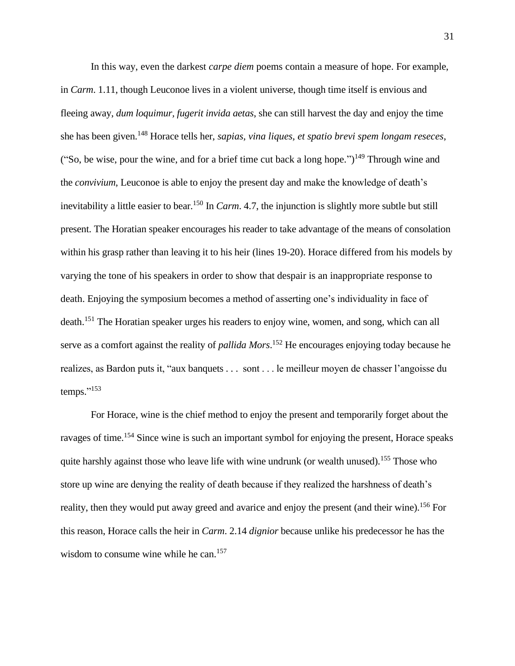In this way, even the darkest *carpe diem* poems contain a measure of hope. For example, in *Carm*. 1.11, though Leuconoe lives in a violent universe, though time itself is envious and fleeing away, *dum loquimur, fugerit invida aetas*, she can still harvest the day and enjoy the time she has been given. <sup>148</sup> Horace tells her, *sapias, vina liques, et spatio brevi spem longam reseces*, ("So, be wise, pour the wine, and for a brief time cut back a long hope.")<sup>149</sup> Through wine and the *convivium*, Leuconoe is able to enjoy the present day and make the knowledge of death's inevitability a little easier to bear.<sup>150</sup> In *Carm*. 4.7, the injunction is slightly more subtle but still present. The Horatian speaker encourages his reader to take advantage of the means of consolation within his grasp rather than leaving it to his heir (lines 19-20). Horace differed from his models by varying the tone of his speakers in order to show that despair is an inappropriate response to death. Enjoying the symposium becomes a method of asserting one's individuality in face of death.<sup>151</sup> The Horatian speaker urges his readers to enjoy wine, women, and song, which can all serve as a comfort against the reality of *pallida Mors*. <sup>152</sup> He encourages enjoying today because he realizes, as Bardon puts it, "aux banquets . . . sont . . . le meilleur moyen de chasser l'angoisse du temps." 153

For Horace, wine is the chief method to enjoy the present and temporarily forget about the ravages of time.<sup>154</sup> Since wine is such an important symbol for enjoying the present, Horace speaks quite harshly against those who leave life with wine undrunk (or wealth unused).<sup>155</sup> Those who store up wine are denying the reality of death because if they realized the harshness of death's reality, then they would put away greed and avarice and enjoy the present (and their wine).<sup>156</sup> For this reason, Horace calls the heir in *Carm*. 2.14 *dignior* because unlike his predecessor he has the wisdom to consume wine while he can.<sup>157</sup>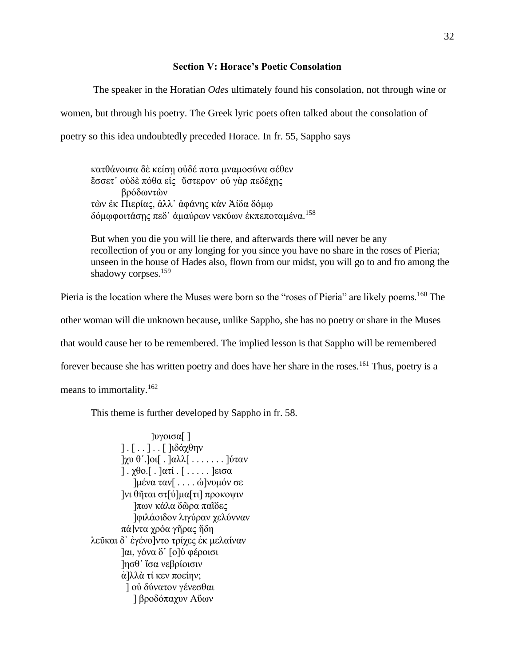#### **Section V: Horace's Poetic Consolation**

The speaker in the Horatian *Odes* ultimately found his consolation, not through wine or women, but through his poetry. The Greek lyric poets often talked about the consolation of poetry so this idea undoubtedly preceded Horace. In fr. 55, Sappho says

κατθάνοισα δὲ κείσῃ οὐδέ ποτα μναμοσύνα σέθεν ἔσσετ᾿ οὐδὲ πόθα εἰς ὔστερον· οὐ γὰρ πεδέχῃς βρόδωντὼν τὼν ἐκ Πιερίας, ἀλλ᾿ ἀφάνης κἀν Ἀίδα δόμῳ δόμῳφοιτάσῃς πεδ᾿ ἀμαύρων νεκύων ἐκπεποταμένα.<sup>158</sup>

But when you die you will lie there, and afterwards there will never be any recollection of you or any longing for you since you have no share in the roses of Pieria; unseen in the house of Hades also, flown from our midst, you will go to and fro among the shadowy corpses.<sup>159</sup>

Pieria is the location where the Muses were born so the "roses of Pieria" are likely poems.<sup>160</sup> The

other woman will die unknown because, unlike Sappho, she has no poetry or share in the Muses

that would cause her to be remembered. The implied lesson is that Sappho will be remembered

forever because she has written poetry and does have her share in the roses.<sup>161</sup> Thus, poetry is a

means to immortality.<sup>162</sup>

This theme is further developed by Sappho in fr. 58.

]υγοισα[ ] ] . [ . . ] . . [ ]ιδάχθην ]χυ θ΄.]οι[ . ]αλλ[ . . . . . . . ]ύταν ] .  $\chi$ θο.[.]ατί . [.....]εισα ]μένα ταν[ . . . . ώ]νυμόν σε ]νι θῆται στ[ύ]μα[τι] προκοψιν ]πων κάλα δῶρα παῖδες ]φιλάοιδον λιγύραν χελύνναν πά]ντα χρόα γῆρας ἤδη λεῦκαι δ᾿ ἐγένο]ντο τρίχες ἐκ μελαίναν ]αι, γόνα δ᾿ [ο]ὐ φέροισι ]ησθ᾿ ἴσα νεβρίοισιν ἀ]λλὰ τί κεν ποείην; ] οὐ δύνατον γένεσθαι ] βροδόπαχυν Αὔων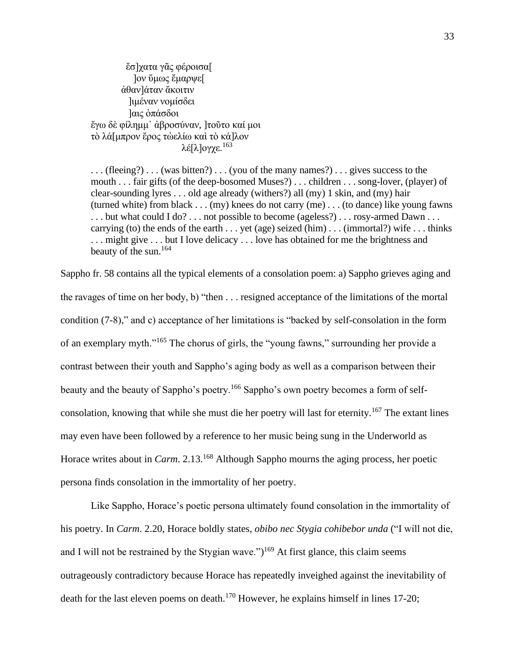ἔσ]χατα γᾶς φέροισα[ ]ον ὔμως ἔμαρψε[ ἀθαν]άταν ἄκοιτιν ]ιμέναν νομίσδει ]αις ὀπάσδοι ἔγω δὲ φίλημμ᾿ ἀβροσύναν, ]τοῦτο καί μοι τὸ λά[μπρον ἔρος τὠελίω καὶ τὸ κά]λον λέ[λ]ογχε.<sup>163</sup>

. . . (fleeing?) . . . (was bitten?) . . . (you of the many names?) . . . gives success to the mouth . . . fair gifts (of the deep-bosomed Muses?) . . . children . . . song-lover, (player) of clear-sounding lyres . . . old age already (withers?) all (my) 1 skin, and (my) hair (turned white) from black . . . (my) knees do not carry (me) . . . (to dance) like young fawns . . . but what could I do? . . . not possible to become (ageless?) . . . rosy-armed Dawn . . . carrying (to) the ends of the earth . . . yet (age) seized (him) . . . (immortal?) wife . . . thinks . . . might give . . . but I love delicacy . . . love has obtained for me the brightness and beauty of the sun.<sup>164</sup>

Sappho fr. 58 contains all the typical elements of a consolation poem: a) Sappho grieves aging and the ravages of time on her body, b) "then . . . resigned acceptance of the limitations of the mortal condition (7-8)," and c) acceptance of her limitations is "backed by self-consolation in the form of an exemplary myth."<sup>165</sup> The chorus of girls, the "young fawns," surrounding her provide a contrast between their youth and Sappho's aging body as well as a comparison between their beauty and the beauty of Sappho's poetry.<sup>166</sup> Sappho's own poetry becomes a form of selfconsolation, knowing that while she must die her poetry will last for eternity.<sup>167</sup> The extant lines may even have been followed by a reference to her music being sung in the Underworld as Horace writes about in *Carm*. 2.13.<sup>168</sup> Although Sappho mourns the aging process, her poetic persona finds consolation in the immortality of her poetry.

Like Sappho, Horace's poetic persona ultimately found consolation in the immortality of his poetry. In *Carm*. 2.20, Horace boldly states, *obibo nec Stygia cohibebor unda* ("I will not die, and I will not be restrained by the Stygian wave.")<sup>169</sup> At first glance, this claim seems outrageously contradictory because Horace has repeatedly inveighed against the inevitability of death for the last eleven poems on death.<sup>170</sup> However, he explains himself in lines 17-20;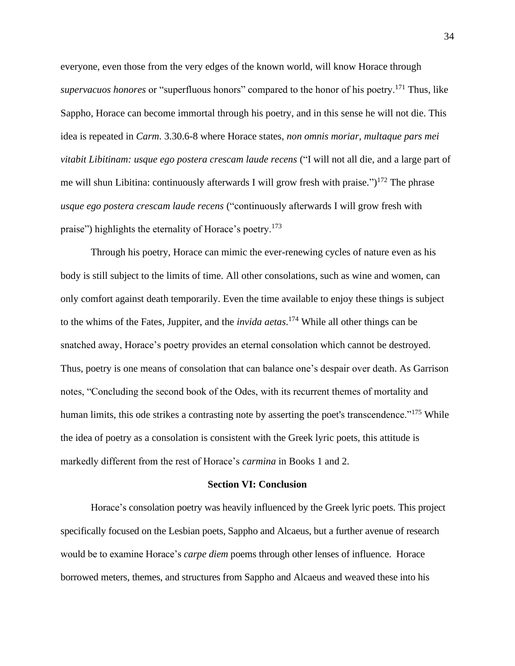everyone, even those from the very edges of the known world, will know Horace through *supervacuos honores* or "superfluous honors" compared to the honor of his poetry.<sup>171</sup> Thus, like Sappho, Horace can become immortal through his poetry, and in this sense he will not die. This idea is repeated in *Carm*. 3.30.6-8 where Horace states, *non omnis moriar, multaque pars mei vitabit Libitinam: usque ego postera crescam laude recens* ("I will not all die, and a large part of me will shun Libitina: continuously afterwards I will grow fresh with praise.")<sup>172</sup> The phrase *usque ego postera crescam laude recens* ("continuously afterwards I will grow fresh with praise") highlights the eternality of Horace's poetry.<sup>173</sup>

Through his poetry, Horace can mimic the ever-renewing cycles of nature even as his body is still subject to the limits of time. All other consolations, such as wine and women, can only comfort against death temporarily. Even the time available to enjoy these things is subject to the whims of the Fates, Juppiter, and the *invida aetas*. <sup>174</sup> While all other things can be snatched away, Horace's poetry provides an eternal consolation which cannot be destroyed. Thus, poetry is one means of consolation that can balance one's despair over death. As Garrison notes, "Concluding the second book of the Odes, with its recurrent themes of mortality and human limits, this ode strikes a contrasting note by asserting the poet's transcendence."<sup>175</sup> While the idea of poetry as a consolation is consistent with the Greek lyric poets, this attitude is markedly different from the rest of Horace's *carmina* in Books 1 and 2.

#### **Section VI: Conclusion**

Horace's consolation poetry was heavily influenced by the Greek lyric poets. This project specifically focused on the Lesbian poets, Sappho and Alcaeus, but a further avenue of research would be to examine Horace's *carpe diem* poems through other lenses of influence. Horace borrowed meters, themes, and structures from Sappho and Alcaeus and weaved these into his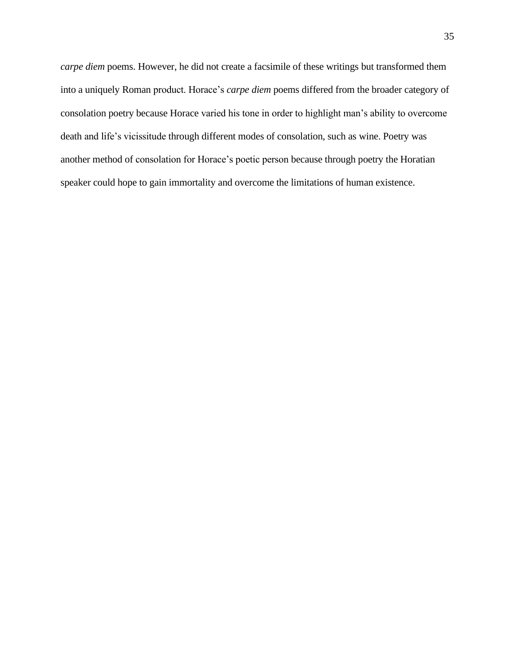*carpe diem* poems. However, he did not create a facsimile of these writings but transformed them into a uniquely Roman product. Horace's *carpe diem* poems differed from the broader category of consolation poetry because Horace varied his tone in order to highlight man's ability to overcome death and life's vicissitude through different modes of consolation, such as wine. Poetry was another method of consolation for Horace's poetic person because through poetry the Horatian speaker could hope to gain immortality and overcome the limitations of human existence.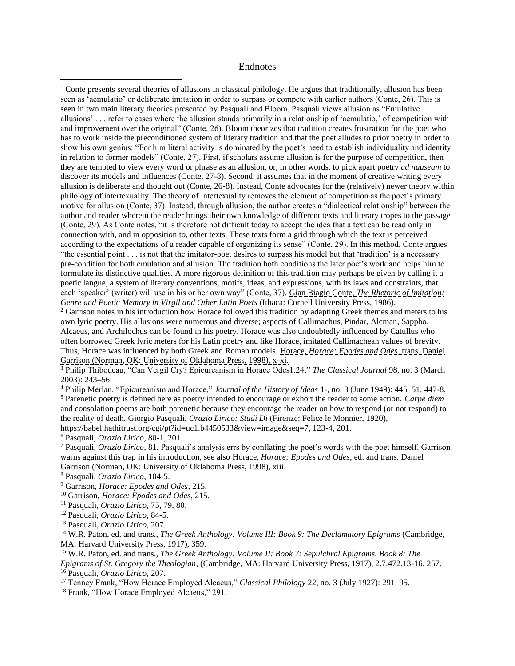#### Endnotes

<sup>2</sup> Garrison notes in his introduction how Horace followed this tradition by adapting Greek themes and meters to his own lyric poetry. His allusions were numerous and diverse; aspects of Callimachus, Pindar, Alcman, Sappho, Alcaeus, and Archilochus can be found in his poetry. Horace was also undoubtedly influenced by Catullus who often borrowed Greek lyric meters for his Latin poetry and like Horace, imitated Callimachean values of brevity. Thus, Horace was influenced by both Greek and Roman models. Horace, *Horace: Epodes and Odes*, trans. Daniel Garrison (Norman, OK: University of Oklahoma Press, 1998), x-xi.

<sup>3</sup> Philip Thibodeau, "Can Vergil Cry? Epicureanism in Horace Odes1.24," *The Classical Journal* 98, no. 3 (March 2003): 243–56.

<sup>4</sup> Philip Merlan, "Epicureanism and Horace," *Journal of the History of Ideas* 1-, no. 3 (June 1949): 445–51, 447-8. <sup>5</sup> Parenetic poetry is defined here as poetry intended to encourage or exhort the reader to some action. *Carpe diem* and consolation poems are both parenetic because they encourage the reader on how to respond (or not respond) to the reality of death. Giorgio Pasquali, *Orazio Lirico: Studi Di* (Firenze: Felice le Monnier, 1920),

https://babel.hathitrust.org/cgi/pt?id=uc1.b4450533&view=image&seq=7, 123-4, 201.

<sup>6</sup> Pasquali, *Orazio Lirico*, 80-1, 201.

<sup>7</sup> Pasquali, *Orazio Lirico*, 81. Pasquali's analysis errs by conflating the poet's words with the poet himself. Garrison warns against this trap in his introduction, see also Horace, *Horace: Epodes and Odes*, ed. and trans. Daniel Garrison (Norman, OK: University of Oklahoma Press, 1998), xiii.

<sup>9</sup> Garrison, *Horace: Epodes and Odes*, 215.

<sup>10</sup> Garrison, *Horace: Epodes and Odes*, 215.

<sup>11</sup> Pasquali, *Orazio Lirico*, 75, 79, 80.

<sup>12</sup> Pasquali, *Orazio Lirico*, 84-5.

<sup>13</sup> Pasquali, *Orazio Lirico*, 207.

<sup>14</sup> W.R. Paton, ed. and trans., *The Greek Anthology: Volume III: Book 9: The Declamatory Epigrams* (Cambridge, MA: Harvard University Press, 1917), 359.

<sup>15</sup> W.R. Paton, ed. and trans., *The Greek Anthology: Volume II: Book 7: Sepulchral Epigrams. Book 8: The Epigrams of St. Gregory the Theologian*, (Cambridge, MA: Harvard University Press, 1917), 2.7.472.13-16, 257.

<sup>16</sup> Pasquali, *Orazio Lirico,* 207.

<sup>17</sup> Tenney Frank, "How Horace Employed Alcaeus," *Classical Philology* 22, no. 3 (July 1927): 291–95.

<sup>18</sup> Frank, "How Horace Employed Alcaeus," 291.

<sup>&</sup>lt;sup>1</sup> Conte presents several theories of allusions in classical philology. He argues that traditionally, allusion has been seen as 'aemulatio' or deliberate imitation in order to surpass or compete with earlier authors (Conte, 26). This is seen in two main literary theories presented by Pasquali and Bloom. Pasquali views allusion as "Emulative allusions' . . . refer to cases where the allusion stands primarily in a relationship of 'aemulatio,' of competition with and improvement over the original" (Conte, 26). Bloom theorizes that tradition creates frustration for the poet who has to work inside the preconditioned system of literary tradition and that the poet alludes to prior poetry in order to show his own genius: "For him literal activity is dominated by the poet's need to establish individuality and identity in relation to former models" (Conte, 27). First, if scholars assume allusion is for the purpose of competition, then they are tempted to view every word or phrase as an allusion, or, in other words, to pick apart poetry *ad nauseam* to discover its models and influences (Conte, 27-8). Second, it assumes that in the moment of creative writing every allusion is deliberate and thought out (Conte, 26-8). Instead, Conte advocates for the (relatively) newer theory within philology of intertexuality. The theory of intertexuality removes the element of competition as the poet's primary motive for allusion (Conte, 37). Instead, through allusion, the author creates a "dialectical relationship" between the author and reader wherein the reader brings their own knowledge of different texts and literary tropes to the passage (Conte, 29). As Conte notes, "it is therefore not difficult today to accept the idea that a text can be read only in connection with, and in opposition to, other texts. These texts form a grid through which the text is perceived according to the expectations of a reader capable of organizing its sense" (Conte, 29). In this method, Conte argues "the essential point . . . is not that the imitator-poet desires to surpass his model but that 'tradition' is a necessary pre-condition for both emulation and allusion. The tradition both conditions the later poet's work and helps him to formulate its distinctive qualities. A more rigorous definition of this tradition may perhaps be given by calling it a poetic langue, a system of literary conventions, motifs, ideas, and expressions, with its laws and constraints, that each 'speaker' (writer) will use in his or her own way" (Conte, 37). Gian Biagio Conte, *The Rhetoric of Imitation: Genre and Poetic Memory in Virgil and Other Latin Poets* (Ithaca: Cornell University Press, 1986).

<sup>8</sup> Pasquali, *Orazio Lirico*, 104-5.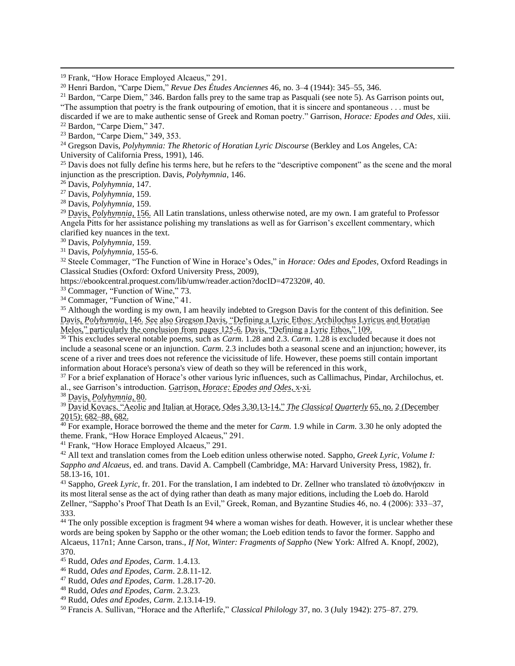<sup>19</sup> Frank, "How Horace Employed Alcaeus," 291.

<sup>20</sup> Henri Bardon, "Carpe Diem," *Revue Des Études Anciennes* 46, no. 3–4 (1944): 345–55, 346.

<sup>21</sup> Bardon, "Carpe Diem," 346. Bardon falls prey to the same trap as Pasquali (see note 5). As Garrison points out, "The assumption that poetry is the frank outpouring of emotion, that it is sincere and spontaneous . . . must be discarded if we are to make authentic sense of Greek and Roman poetry." Garrison, *Horace: Epodes and Odes*, xiii.

<sup>23</sup> Bardon, "Carpe Diem," 349, 353.

<sup>24</sup> Gregson Davis, *Polyhymnia: The Rhetoric of Horatian Lyric Discourse* (Berkley and Los Angeles, CA: University of California Press, 1991), 146.

 $25$  Davis does not fully define his terms here, but he refers to the "descriptive component" as the scene and the moral injunction as the prescription. Davis, *Polyhymnia*, 146.

<sup>26</sup> Davis, *Polyhymnia*, 147.

<sup>27</sup> Davis, *Polyhymnia*, 159.

<sup>28</sup> Davis, *Polyhymnia*, 159.

<sup>29</sup> Davis, *Polyhymnia*, 156. All Latin translations, unless otherwise noted, are my own. I am grateful to Professor Angela Pitts for her assistance polishing my translations as well as for Garrison's excellent commentary, which clarified key nuances in the text.

<sup>30</sup> Davis, *Polyhymnia*, 159.

<sup>31</sup> Davis, *Polyhymnia*, 155-6.

<sup>32</sup> Steele Commager, "The Function of Wine in Horace's Odes," in *Horace: Odes and Epodes*, Oxford Readings in Classical Studies (Oxford: Oxford University Press, 2009),

https://ebookcentral.proquest.com/lib/umw/reader.action?docID=472320#, 40.

<sup>33</sup> Commager, "Function of Wine," 73.

<sup>34</sup> Commager, "Function of Wine," 41.

<sup>35</sup> Although the wording is my own, I am heavily indebted to Gregson Davis for the content of this definition. See Davis, *Polyhymnia*, 146. See also Gregson Davis, "Defining a Lyric Ethos: Archilochus Lyricus and Horatian Melos," particularly the conclusion from pages 125-6. Davis, "Defining a Lyric Ethos," 109.

<sup>36</sup> This excludes several notable poems, such as *Carm*. 1.28 and 2.3. *Carm*. 1.28 is excluded because it does not include a seasonal scene or an injunction. *Carm*. 2.3 includes both a seasonal scene and an injunction; however, its scene of a river and trees does not reference the vicissitude of life. However, these poems still contain important information about Horace's persona's view of death so they will be referenced in this work.

<sup>37</sup> For a brief explanation of Horace's other various lyric influences, such as Callimachus, Pindar, Archilochus, et. al., see Garrison's introduction. Garrison, *Horace: Epodes and Odes*, x-xi.

<sup>38</sup> Davis, *Polyhymnia*, 80.

<sup>39</sup> David Kovacs, "Aeolic and Italian at Horace, Odes 3.30.13-14," *The Classical Quarterly* 65, no. 2 (December 2015): 682–88, 682.

<sup>40</sup> For example, Horace borrowed the theme and the meter for *Carm*. 1.9 while in *Carm*. 3.30 he only adopted the theme. Frank, "How Horace Employed Alcaeus," 291.

<sup>41</sup> Frank, "How Horace Employed Alcaeus," 291.

<sup>42</sup> All text and translation comes from the Loeb edition unless otherwise noted. Sappho, *Greek Lyric, Volume I: Sappho and Alcaeus*, ed. and trans. David A. Campbell (Cambridge, MA: Harvard University Press, 1982), fr. 58.13-16, 101.

<sup>43</sup> Sappho, *Greek Lyric*, fr. 201. For the translation, I am indebted to Dr. Zellner who translated τὸ ἀποθνήσκειν in its most literal sense as the act of dying rather than death as many major editions, including the Loeb do. Harold Zellner, "Sappho's Proof That Death Is an Evil," Greek, Roman, and Byzantine Studies 46, no. 4 (2006): 333–37, 333.

<sup>44</sup> The only possible exception is fragment 94 where a woman wishes for death. However, it is unclear whether these words are being spoken by Sappho or the other woman; the Loeb edition tends to favor the former. Sappho and Alcaeus, 117n1; Anne Carson, trans., *If Not, Winter: Fragments of Sappho* (New York: Alfred A. Knopf, 2002), 370.

<sup>45</sup> Rudd, *Odes and Epodes*, *Carm*. 1.4.13.

<sup>47</sup> Rudd, *Odes and Epodes*, *Carm*. 1.28.17-20.

<sup>49</sup> Rudd, *Odes and Epodes*, *Carm*. 2.13.14-19.

<sup>50</sup> Francis A. Sullivan, "Horace and the Afterlife," *Classical Philology* 37, no. 3 (July 1942): 275–87. 279.

<sup>22</sup> Bardon, "Carpe Diem," 347.

<sup>46</sup> Rudd, *Odes and Epodes*, *Carm*. 2.8.11-12.

<sup>48</sup> Rudd, *Odes and Epodes*, *Carm*. 2.3.23.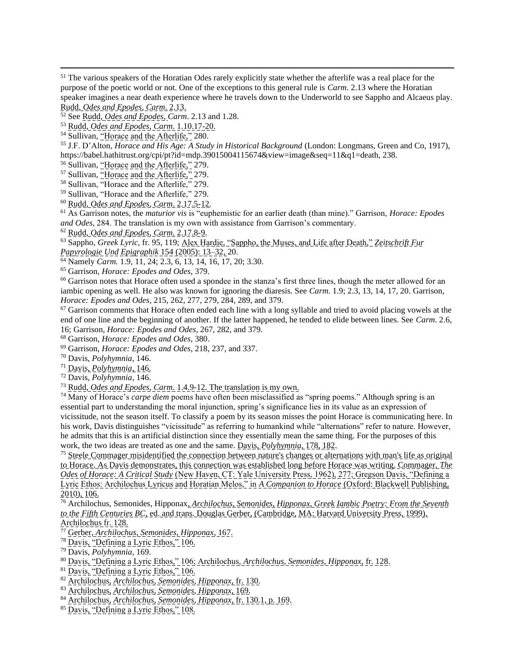<sup>53</sup> Rudd, *Odes and Epodes*, *Carm*. 1.10.17-20.

<sup>55</sup> J.F. D'Alton, *Horace and His Age: A Study in Historical Background* (London: Longmans, Green and Co, 1917), https://babel.hathitrust.org/cpi/pt?id=mdp.39015004115674&view=image&seq=11&q1=death, 238.

<sup>56</sup> Sullivan, "Horace and the Afterlife," 279.

<sup>57</sup> Sullivan, "Horace and the Afterlife," 279.

<sup>58</sup> Sullivan, "Horace and the Afterlife," 279.

<sup>59</sup> Sullivan, "Horace and the Afterlife," 279.

<sup>60</sup> Rudd, *Odes and Epodes*, *Carm*. 2.17.5-12.

<sup>61</sup> As Garrison notes, the *maturior vis* is "euphemistic for an earlier death (than mine)." Garrison, *Horace: Epodes and Odes*, 284. The translation is my own with assistance from Garrison's commentary.

<sup>62</sup> Rudd, *Odes and Epodes*, *Carm*. 2.17.8-9.

<sup>63</sup> Sappho, *Greek Lyric*, fr. 95, 119; Alex Hardie, "Sappho, the Muses, and Life after Death," *Zeitschrift Fur Papyrologie Und Epigraphik* 154 (2005): 13–32, 20.

<sup>64</sup> Namely *Carm.* 1.9, 11, 24; 2.3, 6, 13, 14, 16, 17, 20; 3.30.

<sup>65</sup> Garrison, *Horace: Epodes and Odes*, 379.

<sup>66</sup> Garrison notes that Horace often used a spondee in the stanza's first three lines, though the meter allowed for an iambic opening as well. He also was known for ignoring the diaresis. See *Carm*. 1.9; 2.3, 13, 14, 17, 20. Garrison, *Horace: Epodes and Odes*, 215, 262, 277, 279, 284, 289, and 379.

 $67$  Garrison comments that Horace often ended each line with a long syllable and tried to avoid placing vowels at the end of one line and the beginning of another. If the latter happened, he tended to elide between lines. See *Carm*. 2.6, 16; Garrison, *Horace: Epodes and Odes*, 267, 282, and 379.

<sup>68</sup> Garrison, *Horace: Epodes and Odes*, 380.

<sup>69</sup> Garrison, *Horace: Epodes and Odes*, 218, 237, and 337.

<sup>70</sup> Davis, *Polyhymnia*, 146.

<sup>71</sup> Davis, *Polyhymnia*, 146.

<sup>72</sup> Davis, *Polyhymnia*, 146.

<sup>73</sup> Rudd, *Odes and Epodes*, *Carm*. 1.4.9-12. The translation is my own.

<sup>74</sup> Many of Horace's *carpe diem* poems have often been misclassified as "spring poems." Although spring is an essential part to understanding the moral injunction, spring's significance lies in its value as an expression of vicissitude, not the season itself. To classify a poem by its season misses the point Horace is communicating here. In his work, Davis distinguishes "vicissitude" as referring to humankind while "alternations" refer to nature. However, he admits that this is an artificial distinction since they essentially mean the same thing. For the purposes of this work, the two ideas are treated as one and the same. Davis, *Polyhymnia*, 178, 182.

<sup>75</sup> Steele Commager misidentified the connection between nature's changes or alternations with man's life as original to Horace. As Davis demonstrates, this connection was established long before Horace was writing. Commager, *The Odes of Horace: A Critical Study* (New Haven, CT: Yale University Press, 1962), 277; Gregson Davis, "Defining a Lyric Ethos: Archilochus Lyricus and Horatian Melos," in *A Companion to Horace* (Oxford: Blackwell Publishing, 2010), 106.

<sup>76</sup> Archilochus, Semonides, Hipponax, *Archilochus, Semonides, Hipponax, Greek Iambic Poetry: From the Seventh to the Fifth Centuries BC*, ed. and trans. Douglas Gerber, (Cambridge, MA: Harvard University Press, 1999), Archilochus fr. 128.

<sup>77</sup> Gerber, *Archilochus, Semonides, Hipponax*, 167.

- <sup>78</sup> Davis, "Defining a Lyric Ethos," 106.
- <sup>79</sup> Davis, *Polyhymnia*, 169.

- <sup>81</sup> Davis, "Defining a Lyric Ethos," 106.
- <sup>82</sup> Archilochus, *Archilochus, Semonides, Hipponax,* fr. 130.
- <sup>83</sup> Archilochus, *Archilochus, Semonides, Hipponax,* 169.
- <sup>84</sup> Archilochus, *Archilochus, Semonides, Hipponax*, fr. 130.1, p. 169.
- <sup>85</sup> Davis, "Defining a Lyric Ethos," 108.

<sup>&</sup>lt;sup>51</sup> The various speakers of the Horatian Odes rarely explicitly state whether the afterlife was a real place for the purpose of the poetic world or not. One of the exceptions to this general rule is *Carm*. 2.13 where the Horatian speaker imagines a near death experience where he travels down to the Underworld to see Sappho and Alcaeus play. Rudd, *Odes and Epodes*, *Carm*. 2.13.

<sup>52</sup> See Rudd, *Odes and Epodes*, *Carm*. 2.13 and 1.28.

<sup>&</sup>lt;sup>54</sup> Sullivan, "Horace and the Afterlife," 280.

<sup>80</sup> Davis, "Defining a Lyric Ethos," 106; Archilochus, *Archilochus, Semonides, Hipponax*, fr. 128.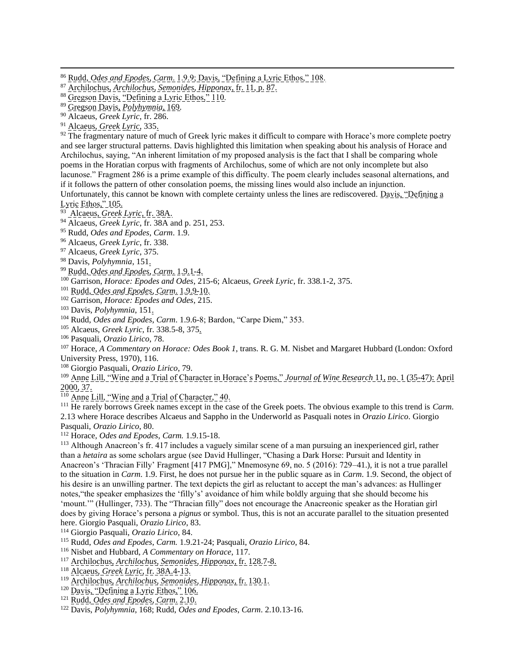<sup>90</sup> Alcaeus, *Greek Lyric*, fr. 286.

<sup>91</sup> Alcaeus, *Greek Lyric*, 335.

<sup>92</sup> The fragmentary nature of much of Greek lyric makes it difficult to compare with Horace's more complete poetry and see larger structural patterns. Davis highlighted this limitation when speaking about his analysis of Horace and Archilochus, saying, "An inherent limitation of my proposed analysis is the fact that I shall be comparing whole poems in the Horatian corpus with fragments of Archilochus, some of which are not only incomplete but also lacunose." Fragment 286 is a prime example of this difficulty. The poem clearly includes seasonal alternations, and if it follows the pattern of other consolation poems, the missing lines would also include an injunction. Unfortunately, this cannot be known with complete certainty unless the lines are rediscovered. Davis, "Defining a Lyric Ethos," 105.

<sup>93</sup> Alcaeus, *Greek Lyric*, fr. 38A.

<sup>94</sup> Alcaeus, *Greek Lyric*, fr. 38A and p. 251, 253.

<sup>95</sup> Rudd, *Odes and Epodes*, *Carm*. 1.9.

<sup>96</sup> Alcaeus, *Greek Lyric*, fr. 338.

<sup>97</sup> Alcaeus, *Greek Lyric*, 375.

<sup>98</sup> Davis, *Polyhymnia*, 151.

<sup>99</sup> Rudd, *Odes and Epodes*, *Carm*. 1.9.1-4.

<sup>100</sup> Garrison, *Horace: Epodes and Odes*, 215-6; Alcaeus, *Greek Lyric*, fr. 338.1-2, 375.

<sup>101</sup> Rudd, *Odes and Epodes*, *Carm*. 1.9.9-10.

<sup>102</sup> Garrison, *Horace: Epodes and Odes*, 215.

<sup>103</sup> Davis, *Polyhymnia*, 151.

<sup>104</sup> Rudd, *Odes and Epodes*, *Carm*. 1.9.6-8; Bardon, "Carpe Diem," 353.

<sup>105</sup> Alcaeus, *Greek Lyric*, fr. 338.5-8, 375.

<sup>106</sup> Pasquali, *Orazio Lirico*, 78.

<sup>107</sup> Horace, *A Commentary on Horace: Odes Book 1*, trans. R. G. M. Nisbet and Margaret Hubbard (London: Oxford University Press, 1970), 116.

<sup>108</sup> Giorgio Pasquali, *Orazio Lirico*, 79.

<sup>109</sup> Anne Lill, "Wine and a Trial of Character in Horace's Poems," *Journal of Wine Research* 11, no. 1 (35-47): April 2000, 37.

<sup>110</sup> Anne Lill, "Wine and a Trial of Character," 40.

<sup>111</sup> He rarely borrows Greek names except in the case of the Greek poets. The obvious example to this trend is *Carm*. 2.13 where Horace describes Alcaeus and Sappho in the Underworld as Pasquali notes in *Orazio Lirico*. Giorgio Pasquali, *Orazio Lirico*, 80.

<sup>112</sup> Horace, *Odes and Epodes*, *Carm.* 1.9.15-18.

<sup>113</sup> Although Anacreon's fr. 417 includes a vaguely similar scene of a man pursuing an inexperienced girl, rather than a *hetaira* as some scholars argue (see David Hullinger, "Chasing a Dark Horse: Pursuit and Identity in Anacreon's 'Thracian Filly' Fragment [417 PMG]," Mnemosyne 69, no. 5 (2016): 729–41.), it is not a true parallel to the situation in *Carm*. 1.9. First, he does not pursue her in the public square as in *Carm*. 1.9. Second, the object of his desire is an unwilling partner. The text depicts the girl as reluctant to accept the man's advances: as Hullinger notes,"the speaker emphasizes the 'filly's' avoidance of him while boldly arguing that she should become his 'mount.'" (Hullinger, 733). The "Thracian filly" does not encourage the Anacreonic speaker as the Horatian girl does by giving Horace's persona a *pignus* or symbol. Thus, this is not an accurate parallel to the situation presented here. Giorgio Pasquali, *Orazio Lirico*, 83.

<sup>114</sup> Giorgio Pasquali, *Orazio Lirico*, 84.

<sup>115</sup> Rudd, *Odes and Epodes*, *Carm.* 1.9.21-24; Pasquali, *Orazio Lirico*, 84.

<sup>116</sup> Nisbet and Hubbard, *A Commentary on Horace*, 117.

<sup>117</sup> Archilochus, *Archilochus, Semonides, Hipponax*, fr. 128.7-8.

<sup>118</sup> Alcaeus, *Greek Lyric*, fr. 38A.4-13.

<sup>119</sup> Archilochus, *Archilochus, Semonides, Hipponax*, fr. 130.1.

<sup>120</sup> Davis, "Defining a Lyric Ethos," 106.

<sup>121</sup> Rudd, *Odes and Epodes*, *Carm*. 2.10.

<sup>122</sup> Davis, *Polyhymnia*, 168; Rudd, *Odes and Epodes*, *Carm*. 2.10.13-16.

<sup>86</sup> Rudd, *Odes and Epodes*, *Carm*. 1.9.9; Davis, "Defining a Lyric Ethos," 108.

<sup>87</sup> Archilochus, *Archilochus, Semonides, Hipponax*, fr. 11, p. 87.

<sup>88</sup> Gregson Davis, "Defining a Lyric Ethos," 110.

<sup>89</sup> Gregson Davis, *Polyhymnia*, 169.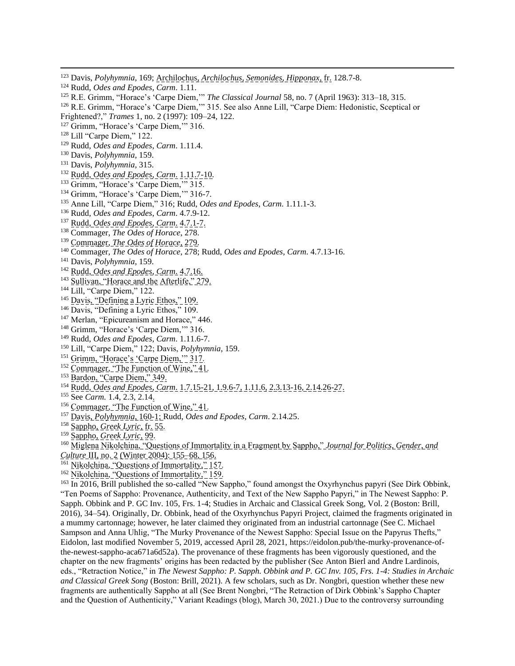- <sup>124</sup> Rudd, *Odes and Epodes*, *Carm*. 1.11.
- <sup>125</sup> R.E. Grimm, "Horace's 'Carpe Diem,'" *The Classical Journal* 58, no. 7 (April 1963): 313–18, 315.
- <sup>126</sup> R.E. Grimm, "Horace's 'Carpe Diem,"" 315. See also Anne Lill, "Carpe Diem: Hedonistic, Sceptical or
- Frightened?," *Trames* 1, no. 2 (1997): 109–24, 122.
- <sup>127</sup> Grimm, "Horace's 'Carpe Diem," 316.
- <sup>128</sup> Lill "Carpe Diem," 122.
- <sup>129</sup> Rudd, *Odes and Epodes*, *Carm*. 1.11.4.
- <sup>130</sup> Davis, *Polyhymnia*, 159.
- <sup>131</sup> Davis, *Polyhymnia*, 315.
- <sup>132</sup> Rudd, *Odes and Epodes*, *Carm*. 1.11.7-10.
- <sup>133</sup> Grimm, "Horace's 'Carpe Diem," 315.
- <sup>134</sup> Grimm, "Horace's 'Carpe Diem," 316-7.
- <sup>135</sup> Anne Lill, "Carpe Diem," 316; Rudd, *Odes and Epodes*, *Carm*. 1.11.1-3.
- <sup>136</sup> Rudd, *Odes and Epodes*, *Carm*. 4.7.9-12.
- <sup>137</sup> Rudd, *Odes and Epodes*, *Carm*. 4.7.1-7.
- <sup>138</sup> Commager, *The Odes of Horace*, 278.
- <sup>139</sup> Commager, *The Odes of Horace*, 279.
- <sup>140</sup> Commager, *The Odes of Horace*, 278; Rudd, *Odes and Epodes*, *Carm*. 4.7.13-16.
- <sup>141</sup> Davis, *Polyhymnia*, 159.
- <sup>142</sup> Rudd, *Odes and Epodes*, *Carm*. 4.7.16.
- <sup>143</sup> Sullivan, "Horace and the Afterlife," 279.
- <sup>144</sup> Lill, "Carpe Diem," 122.
- <sup>145</sup> Davis, "Defining a Lyric Ethos," 109.
- <sup>146</sup> Davis, "Defining a Lyric Ethos," 109.
- <sup>147</sup> Merlan, "Epicureanism and Horace," 446.
- <sup>148</sup> Grimm, "Horace's 'Carpe Diem," 316.
- <sup>149</sup> Rudd, *Odes and Epodes*, *Carm*. 1.11.6-7.
- <sup>150</sup> Lill, "Carpe Diem," 122; Davis, *Polyhymnia*, 159.
- <sup>151</sup> Grimm, "Horace's 'Carpe Diem," 317.
- <sup>152</sup> Commager, "The Function of Wine," 41.
- 153 Bardon, "Carpe Diem," 349.
- <sup>154</sup> Rudd, *Odes and Epodes*, *Carm*. 1.7.15-21, 1.9.6-7, 1.11.6, 2.3.13-16, 2.14.26-27.
- <sup>155</sup> See *Carm.* 1.4, 2.3, 2.14.
- <sup>156</sup> Commager, "The Function of Wine," 41.
- <sup>157</sup> Davis, *Polyhymnia*, 160-1; Rudd, *Odes and Epodes*, *Carm*. 2.14.25.
- <sup>158</sup> Sappho, *Greek Lyric*, fr. 55.
- <sup>159</sup> Sappho, *Greek Lyric*, 99.
- <sup>160</sup> Miglena Nikolchina, "Questions of Immortality in a Fragment by Sappho," *Journal for Politics, Gender, and Culture* III, no. 2 (Winter 2004): 155–68, 156.
- <sup>161</sup> Nikolchina, "Questions of Immortality," 157.
- 
- <sup>162</sup> Nikolchina, "Questions of Immortality," 159.

<sup>163</sup> In 2016, Brill published the so-called "New Sappho," found amongst the Oxyrhynchus papyri (See Dirk Obbink, "Ten Poems of Sappho: Provenance, Authenticity, and Text of the New Sappho Papyri," in The Newest Sappho: P. Sapph. Obbink and P. GC Inv. 105, Frs. 1-4; Studies in Archaic and Classical Greek Song, Vol. 2 (Boston: Brill, 2016), 34–54). Originally, Dr. Obbink, head of the Oxyrhynchus Papyri Project, claimed the fragments originated in a mummy cartonnage; however, he later claimed they originated from an industrial cartonnage (See C. Michael Sampson and Anna Uhlig, "The Murky Provenance of the Newest Sappho: Special Issue on the Papyrus Thefts," Eidolon, last modified November 5, 2019, accessed April 28, 2021, [https://eidolon.pub/the-murky-provenance-of](https://eidolon.pub/the-murky-provenance-of-the-newest-sappho-aca671a6d52a)[the-newest-sappho-aca671a6d52a\)](https://eidolon.pub/the-murky-provenance-of-the-newest-sappho-aca671a6d52a). The provenance of these fragments has been vigorously questioned, and the chapter on the new fragments' origins has been redacted by the publisher (See Anton Bierl and Andre Lardinois, eds., "Retraction Notice," in *The Newest Sappho: P. Sapph. Obbink and P. GC Inv. 105, Frs. 1-4: Studies in Archaic and Classical Greek Song* (Boston: Brill, 2021). A few scholars, such as Dr. Nongbri, question whether these new fragments are authentically Sappho at all (See Brent Nongbri, "The Retraction of Dirk Obbink's Sappho Chapter and the Question of Authenticity," Variant Readings (blog), March 30, 2021.) Due to the controversy surrounding

<sup>123</sup> Davis, *Polyhymnia*, 169; Archilochus, *Archilochus, Semonides, Hipponax*, fr. 128.7-8.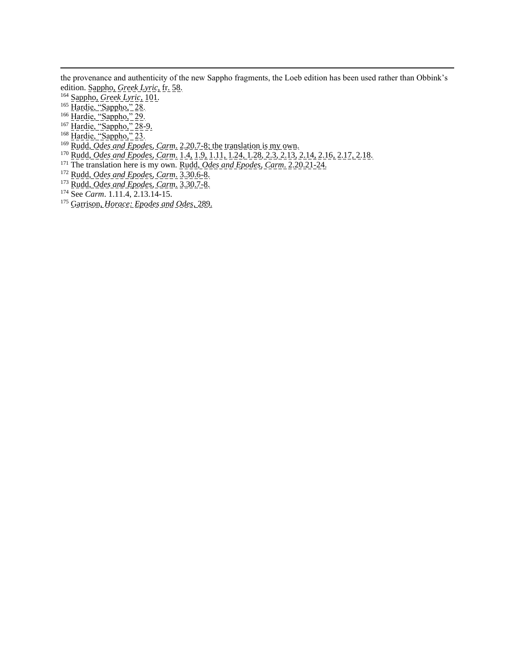the provenance and authenticity of the new Sappho fragments, the Loeb edition has been used rather than Obbink's edition. Sappho, *Greek Lyric*, fr. 58.

- <sup>164</sup> Sappho, *Greek Lyric*, 101.
- <sup>165</sup> Hardie, "Sappho," 28.
- <sup>166</sup> Hardie, "Sappho," 29.
- <sup>167</sup> Hardie, "Sappho," 28-9.
- <sup>168</sup> Hardie, "Sappho," 23.
- <sup>169</sup> Rudd, *Odes and Epodes*, *Carm*. 2.20.7-8; the translation is my own.
- <sup>170</sup> Rudd, *Odes and Epodes*, *Carm*. 1.4, 1.9, 1.11, 1.24, 1.28, 2.3, 2.13, 2.14, 2.16, 2.17, 2.18.
- <sup>171</sup> The translation here is my own. Rudd, *Odes and Epodes*, *Carm*. 2.20.21-24.
- <sup>172</sup> Rudd, *Odes and Epodes*, *Carm*. 3.30.6-8.
- <sup>173</sup> Rudd, *Odes and Epodes*, *Carm*. 3.30.7-8.
- <sup>174</sup> See *Carm*. 1.11.4, 2.13.14-15.
- <sup>175</sup> Garrison, *Horace: Epodes and Odes*, 289.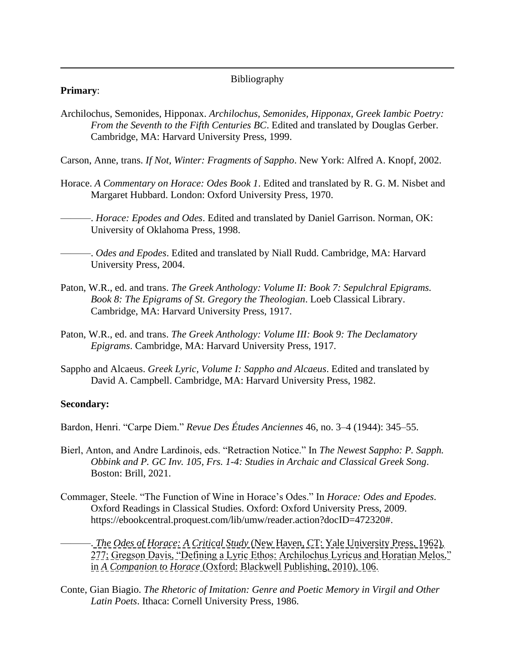### Bibliography

### **Primary**:

Archilochus, Semonides, Hipponax. *Archilochus, Semonides, Hipponax, Greek Iambic Poetry: From the Seventh to the Fifth Centuries BC*. Edited and translated by Douglas Gerber. Cambridge, MA: Harvard University Press, 1999.

Carson, Anne, trans. *If Not, Winter: Fragments of Sappho*. New York: Alfred A. Knopf, 2002.

Horace. *A Commentary on Horace: Odes Book 1*. Edited and translated by R. G. M. Nisbet and Margaret Hubbard. London: Oxford University Press, 1970.

———. *Horace: Epodes and Odes*. Edited and translated by Daniel Garrison. Norman, OK: University of Oklahoma Press, 1998.

———. *Odes and Epodes*. Edited and translated by Niall Rudd. Cambridge, MA: Harvard University Press, 2004.

- Paton, W.R., ed. and trans. *The Greek Anthology: Volume II: Book 7: Sepulchral Epigrams. Book 8: The Epigrams of St. Gregory the Theologian*. Loeb Classical Library. Cambridge, MA: Harvard University Press, 1917.
- Paton, W.R., ed. and trans. *The Greek Anthology: Volume III: Book 9: The Declamatory Epigrams*. Cambridge, MA: Harvard University Press, 1917.
- Sappho and Alcaeus. *Greek Lyric, Volume I: Sappho and Alcaeus*. Edited and translated by David A. Campbell. Cambridge, MA: Harvard University Press, 1982.

#### **Secondary:**

Bardon, Henri. "Carpe Diem." *Revue Des Études Anciennes* 46, no. 3–4 (1944): 345–55.

- Bierl, Anton, and Andre Lardinois, eds. "Retraction Notice." In *The Newest Sappho: P. Sapph. Obbink and P. GC Inv. 105, Frs. 1-4: Studies in Archaic and Classical Greek Song*. Boston: Brill, 2021.
- Commager, Steele. "The Function of Wine in Horace's Odes." In *Horace: Odes and Epodes*. Oxford Readings in Classical Studies. Oxford: Oxford University Press, 2009. [https://ebookcentral.proquest.com/lib/umw/reader.action?docID=472320#.](https://ebookcentral.proquest.com/lib/umw/reader.action?docID=472320)

———. *The Odes of Horace: A Critical Study* (New Haven, CT: Yale University Press, 1962), 277; Gregson Davis, "Defining a Lyric Ethos: Archilochus Lyricus and Horatian Melos," in *A Companion to Horace* (Oxford: Blackwell Publishing, 2010), 106.

Conte, Gian Biagio. *The Rhetoric of Imitation: Genre and Poetic Memory in Virgil and Other Latin Poets*. Ithaca: Cornell University Press, 1986.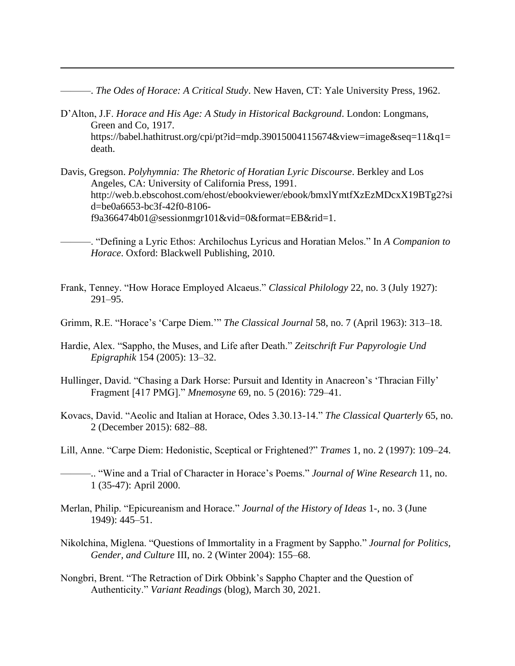———. *The Odes of Horace: A Critical Study*. New Haven, CT: Yale University Press, 1962.

- D'Alton, J.F. *Horace and His Age: A Study in Historical Background*. London: Longmans, Green and Co, 1917. [https://babel.hathitrust.org/cpi/pt?id=mdp.39015004115674&view=image&seq=11&q1=](https://babel.hathitrust.org/cpi/pt?id=mdp.39015004115674&view=image&seq=11&q1=death) [death.](https://babel.hathitrust.org/cpi/pt?id=mdp.39015004115674&view=image&seq=11&q1=death)
- Davis, Gregson. *Polyhymnia: The Rhetoric of Horatian Lyric Discourse*. Berkley and Los Angeles, CA: University of California Press, 1991. [http://web.b.ebscohost.com/ehost/ebookviewer/ebook/bmxlYmtfXzEzMDcxX19BTg2?si](http://web.b.ebscohost.com/ehost/ebookviewer/ebook/bmxlYmtfXzEzMDcxX19BTg2?sid=be0a6653-bc3f-42f0-8106-f9a366474b01@sessionmgr101&vid=0&format=EB&rid=1) [d=be0a6653-bc3f-42f0-8106](http://web.b.ebscohost.com/ehost/ebookviewer/ebook/bmxlYmtfXzEzMDcxX19BTg2?sid=be0a6653-bc3f-42f0-8106-f9a366474b01@sessionmgr101&vid=0&format=EB&rid=1) [f9a366474b01@sessionmgr101&vid=0&format=EB&rid=1.](http://web.b.ebscohost.com/ehost/ebookviewer/ebook/bmxlYmtfXzEzMDcxX19BTg2?sid=be0a6653-bc3f-42f0-8106-f9a366474b01@sessionmgr101&vid=0&format=EB&rid=1)
	- ———. "Defining a Lyric Ethos: Archilochus Lyricus and Horatian Melos." In *A Companion to Horace*. Oxford: Blackwell Publishing, 2010.
- Frank, Tenney. "How Horace Employed Alcaeus." *Classical Philology* 22, no. 3 (July 1927): 291–95.
- Grimm, R.E. "Horace's 'Carpe Diem.'" *The Classical Journal* 58, no. 7 (April 1963): 313–18.
- Hardie, Alex. "Sappho, the Muses, and Life after Death." *Zeitschrift Fur Papyrologie Und Epigraphik* 154 (2005): 13–32.
- Hullinger, David. "Chasing a Dark Horse: Pursuit and Identity in Anacreon's 'Thracian Filly' Fragment [417 PMG]." *Mnemosyne* 69, no. 5 (2016): 729–41.
- Kovacs, David. "Aeolic and Italian at Horace, Odes 3.30.13-14." *The Classical Quarterly* 65, no. 2 (December 2015): 682–88.
- Lill, Anne. "Carpe Diem: Hedonistic, Sceptical or Frightened?" *Trames* 1, no. 2 (1997): 109–24.
- ———.. "Wine and a Trial of Character in Horace's Poems." *Journal of Wine Research* 11, no. 1 (35-47): April 2000.
- Merlan, Philip. "Epicureanism and Horace." *Journal of the History of Ideas* 1-, no. 3 (June 1949): 445–51.
- Nikolchina, Miglena. "Questions of Immortality in a Fragment by Sappho." *Journal for Politics, Gender, and Culture* III, no. 2 (Winter 2004): 155–68.
- Nongbri, Brent. "The Retraction of Dirk Obbink's Sappho Chapter and the Question of Authenticity." *Variant Readings* (blog), March 30, 2021.